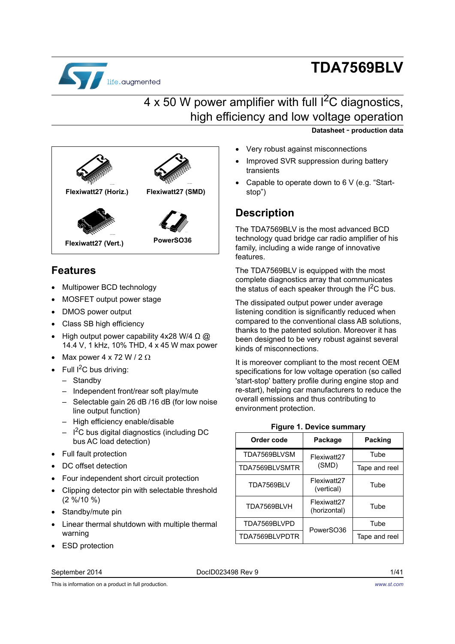

# **TDA7569BLV**

**Datasheet** - **production data**

# $4 \times 50$  W power amplifier with full  $1^2C$  diagnostics, high efficiency and low voltage operation

**PowerSO36 Flexiwatt27 (Vert.) Flexiwatt27 (SMD) Flexiwatt27 (Horiz.)**

# **Features**

- Multipower BCD technology
- MOSFET output power stage
- DMOS power output
- Class SB high efficiency
- High output power capability 4x28 W/4  $\Omega$  @ 14.4 V, 1 kHz, 10% THD, 4 x 45 W max power
- Max power  $4 \times 72 \text{ W} / 2 \Omega$
- Full  $I^2C$  bus driving:
	- Standby
	- Independent front/rear soft play/mute
	- Selectable gain 26 dB /16 dB (for low noise line output function)
	- High efficiency enable/disable
	- $I^2C$  bus digital diagnostics (including DC bus AC load detection)
- Full fault protection
- DC offset detection
- Four independent short circuit protection
- Clipping detector pin with selectable threshold (2 %/10 %)
- Standby/mute pin
- Linear thermal shutdown with multiple thermal warning
- ESD protection

#### September 2014 DocID023498 Rev 9 1/[41](#page-40-0)

This is information on a product in full production.

- Very robust against misconnections
- Improved SVR suppression during battery transients
- Capable to operate down to 6 V (e.g. "Startstop")

### **Description**

The TDA7569BLV is the most advanced BCD technology quad bridge car radio amplifier of his family, including a wide range of innovative features.

The TDA7569BLV is equipped with the most complete diagnostics array that communicates the status of each speaker through the  $I^2C$  bus.

The dissipated output power under average listening condition is significantly reduced when compared to the conventional class AB solutions, thanks to the patented solution. Moreover it has been designed to be very robust against several kinds of misconnections.

It is moreover compliant to the most recent OEM specifications for low voltage operation (so called 'start-stop' battery profile during engine stop and re-start), helping car manufacturers to reduce the overall emissions and thus contributing to environment protection.

#### **Figure 1. Device summary**

<span id="page-0-0"></span>

| Order code     | Package                     | <b>Packing</b> |  |
|----------------|-----------------------------|----------------|--|
| TDA7569BLVSM   | Flexiwatt27                 | Tube           |  |
| TDA7569BLVSMTR | (SMD)                       | Tape and reel  |  |
| TDA7569BLV     | Flexiwatt27<br>(vertical)   | Tube           |  |
| TDA7569BLVH    | Flexiwatt27<br>(horizontal) | Tube           |  |
| TDA7569BLVPD   | PowerSO36                   | Tube           |  |
| TDA7569BLVPDTR |                             | Tape and reel  |  |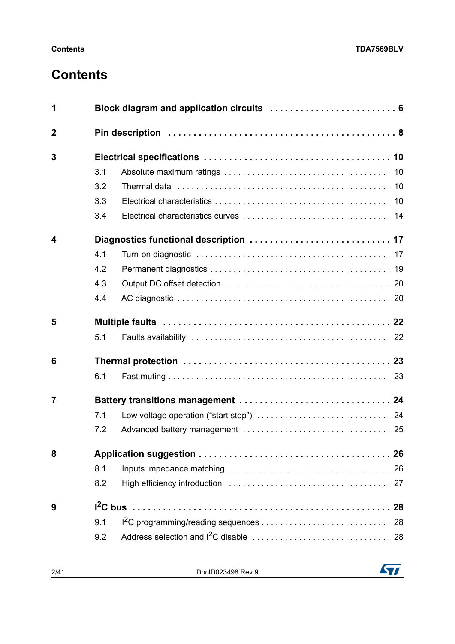# **Contents**

| 1              | Block diagram and application circuits  6 |  |  |  |  |  |
|----------------|-------------------------------------------|--|--|--|--|--|
| $\overline{2}$ |                                           |  |  |  |  |  |
| 3              |                                           |  |  |  |  |  |
|                | 3.1                                       |  |  |  |  |  |
|                | 3.2                                       |  |  |  |  |  |
|                | 3.3                                       |  |  |  |  |  |
|                | 3.4                                       |  |  |  |  |  |
| 4              |                                           |  |  |  |  |  |
|                | 4.1                                       |  |  |  |  |  |
|                | 4.2                                       |  |  |  |  |  |
|                | 4.3                                       |  |  |  |  |  |
|                | 4.4                                       |  |  |  |  |  |
| 5              |                                           |  |  |  |  |  |
|                | 5.1                                       |  |  |  |  |  |
| 6              |                                           |  |  |  |  |  |
|                | 6.1                                       |  |  |  |  |  |
| 7              |                                           |  |  |  |  |  |
|                | 7.1                                       |  |  |  |  |  |
|                | 7.2                                       |  |  |  |  |  |
| 8              |                                           |  |  |  |  |  |
|                | 8.1                                       |  |  |  |  |  |
|                | 8.2                                       |  |  |  |  |  |
| 9              |                                           |  |  |  |  |  |
|                | 9.1                                       |  |  |  |  |  |
|                | 9.2                                       |  |  |  |  |  |

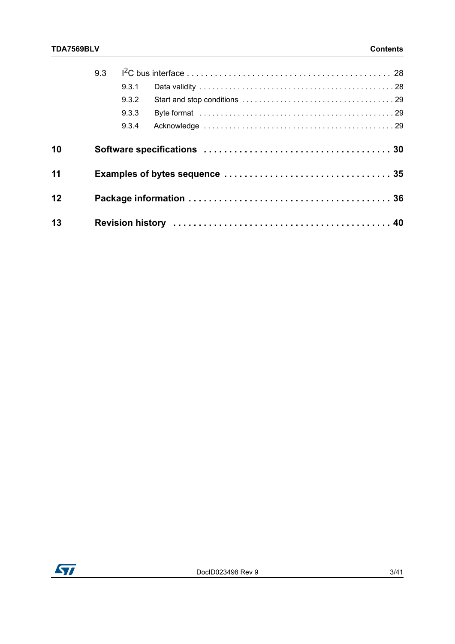|    | 9.3 |       |  |
|----|-----|-------|--|
|    |     | 9.3.1 |  |
|    |     | 9.3.2 |  |
|    |     | 9.3.3 |  |
|    |     | 9.3.4 |  |
| 10 |     |       |  |
| 11 |     |       |  |
| 12 |     |       |  |
| 13 |     |       |  |

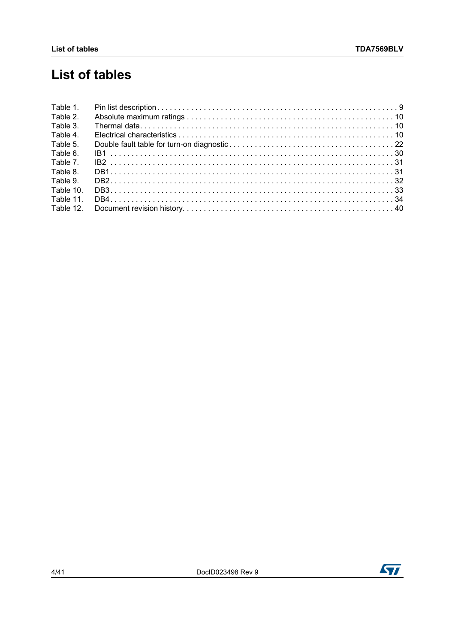# **List of tables**

| Table 1.  |  |
|-----------|--|
| Table 2.  |  |
| Table 3.  |  |
| Table 4.  |  |
| Table 5.  |  |
| Table 6.  |  |
| Table 7.  |  |
| Table 8.  |  |
| Table 9.  |  |
| Table 10. |  |
| Table 11. |  |
| Table 12. |  |

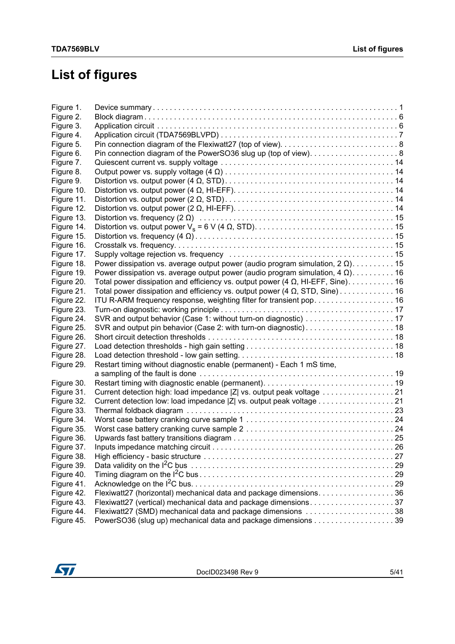# **List of figures**

| Figure 1.  |                                                                                       |  |
|------------|---------------------------------------------------------------------------------------|--|
| Figure 2.  |                                                                                       |  |
| Figure 3.  |                                                                                       |  |
| Figure 4.  |                                                                                       |  |
| Figure 5.  |                                                                                       |  |
| Figure 6.  |                                                                                       |  |
| Figure 7.  |                                                                                       |  |
| Figure 8.  |                                                                                       |  |
| Figure 9.  |                                                                                       |  |
| Figure 10. |                                                                                       |  |
| Figure 11. |                                                                                       |  |
| Figure 12. |                                                                                       |  |
| Figure 13. |                                                                                       |  |
| Figure 14. |                                                                                       |  |
| Figure 15. |                                                                                       |  |
| Figure 16. |                                                                                       |  |
| Figure 17. |                                                                                       |  |
| Figure 18. | Power dissipation vs. average output power (audio program simulation, $2 \Omega$ )15  |  |
| Figure 19. | Power dissipation vs. average output power (audio program simulation, $4 \Omega$ )16  |  |
| Figure 20. | Total power dissipation and efficiency vs. output power $(4 \Omega, H1-EFF, Sine)$ 16 |  |
| Figure 21. | Total power dissipation and efficiency vs. output power (4 $\Omega$ , STD, Sine) 16   |  |
| Figure 22. |                                                                                       |  |
| Figure 23. |                                                                                       |  |
| Figure 24. | SVR and output behavior (Case 1: without turn-on diagnostic)  17                      |  |
| Figure 25. | SVR and output pin behavior (Case 2: with turn-on diagnostic) 18                      |  |
| Figure 26. |                                                                                       |  |
| Figure 27. |                                                                                       |  |
| Figure 28. |                                                                                       |  |
| Figure 29. | Restart timing without diagnostic enable (permanent) - Each 1 mS time,                |  |
|            |                                                                                       |  |
| Figure 30. |                                                                                       |  |
| Figure 31. | Current detection high: load impedance  Z  vs. output peak voltage 21                 |  |
| Figure 32. | Current detection low: load impedance  Z  vs. output peak voltage 21                  |  |
| Figure 33. |                                                                                       |  |
| Figure 34. |                                                                                       |  |
| Figure 35. |                                                                                       |  |
| Figure 36. |                                                                                       |  |
| Figure 37. |                                                                                       |  |
| Figure 38. |                                                                                       |  |
| Figure 39. |                                                                                       |  |
| Figure 40. |                                                                                       |  |
| Figure 41. |                                                                                       |  |
| Figure 42. | Flexiwatt27 (horizontal) mechanical data and package dimensions. 36                   |  |
| Figure 43. | Flexiwatt27 (vertical) mechanical data and package dimensions37                       |  |
| Figure 44. | Flexiwatt27 (SMD) mechanical data and package dimensions 38                           |  |
| Figure 45. | PowerSO36 (slug up) mechanical data and package dimensions 39                         |  |

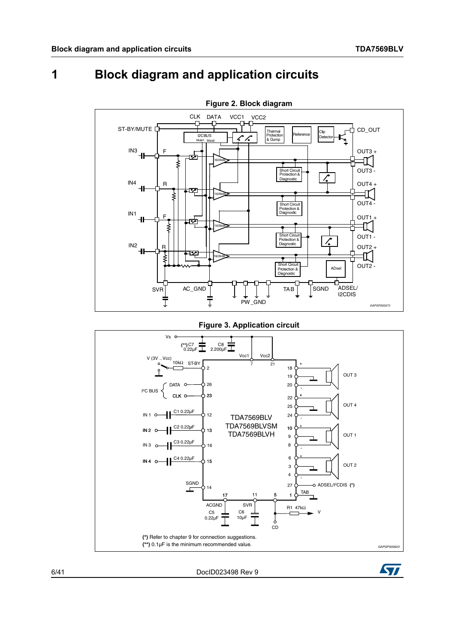#### <span id="page-5-0"></span>**Block diagram and application circuits** 1

<span id="page-5-1"></span>

**Figure 3. Application circuit** 

<span id="page-5-2"></span>

DocID023498 Rev 9

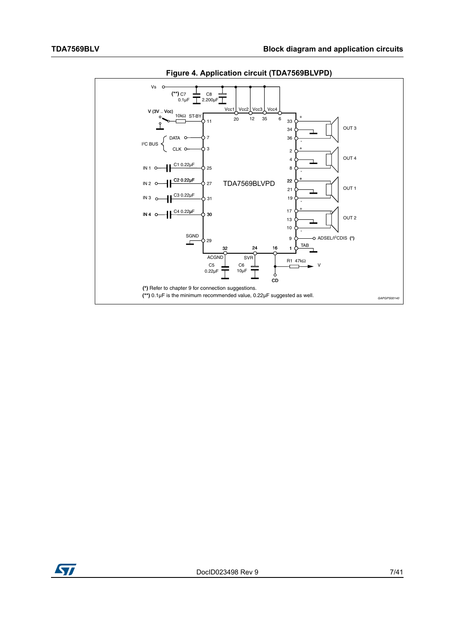<span id="page-6-0"></span>

Figure 4. Application circuit (TDA7569BLVPD)

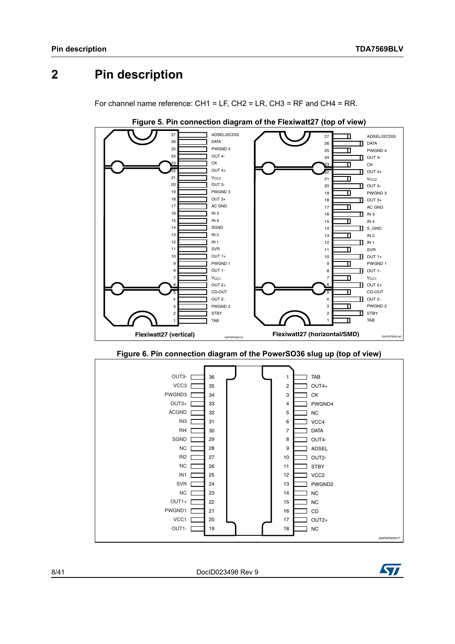#### <span id="page-7-0"></span>**Pin description**  $\overline{2}$

For channel name reference: CH1 = LF, CH2 = LR, CH3 = RF and CH4 = RR.

<span id="page-7-1"></span>

Figure 5. Pin connection diagram of the Flexiwatt27 (top of view)

Figure 6. Pin connection diagram of the PowerSO36 slug up (top of view)

<span id="page-7-2"></span>

DocID023498 Rev 9

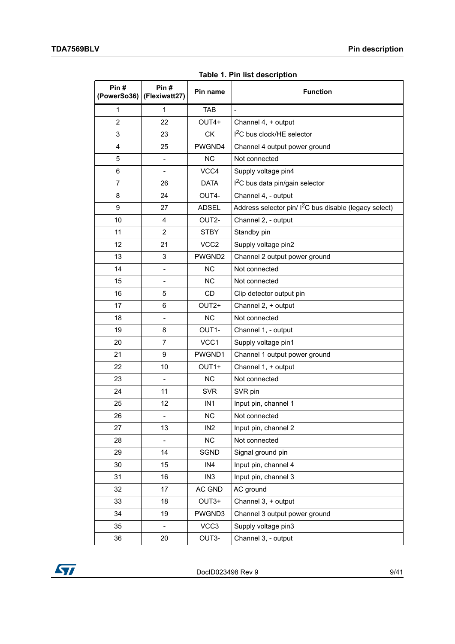**Table 1. Pin list description**

<span id="page-8-0"></span>

| Pin#<br>(PowerSo36) | Pin#<br>(Flexiwatt27)    | Pin name          | <b>Function</b>                                                    |
|---------------------|--------------------------|-------------------|--------------------------------------------------------------------|
| $\mathbf{1}$        | $\mathbf{1}$             | <b>TAB</b>        | $\overline{a}$                                                     |
| $\overline{2}$      | 22                       | OUT4+             | Channel 4, + output                                                |
| 3                   | 23                       | <b>CK</b>         | I <sup>2</sup> C bus clock/HE selector                             |
| 4                   | 25                       | PWGND4            | Channel 4 output power ground                                      |
| 5                   | $\overline{\phantom{0}}$ | <b>NC</b>         | Not connected                                                      |
| 6                   | $\overline{\phantom{0}}$ | VCC4              | Supply voltage pin4                                                |
| $\overline{7}$      | 26                       | <b>DATA</b>       | $12C$ bus data pin/gain selector                                   |
| 8                   | 24                       | OUT4-             | Channel 4, - output                                                |
| 9                   | 27                       | <b>ADSEL</b>      | Address selector pin/ I <sup>2</sup> C bus disable (legacy select) |
| 10                  | 4                        | OUT2-             | Channel 2, - output                                                |
| 11                  | $\overline{2}$           | <b>STBY</b>       | Standby pin                                                        |
| 12                  | 21                       | VCC <sub>2</sub>  | Supply voltage pin2                                                |
| 13                  | 3                        | PWGND2            | Channel 2 output power ground                                      |
| 14                  | $\overline{\phantom{0}}$ | ΝC                | Not connected                                                      |
| 15                  | $\overline{a}$           | <b>NC</b>         | Not connected                                                      |
| 16                  | 5                        | CD                | Clip detector output pin                                           |
| 17                  | 6                        | OUT <sub>2+</sub> | Channel 2, + output                                                |
| 18                  | $\overline{\phantom{0}}$ | <b>NC</b>         | Not connected                                                      |
| 19                  | 8                        | OUT1-             | Channel 1, - output                                                |
| 20                  | $\overline{7}$           | VCC <sub>1</sub>  | Supply voltage pin1                                                |
| 21                  | 9                        | PWGND1            | Channel 1 output power ground                                      |
| 22                  | 10                       | OUT <sub>1+</sub> | Channel 1, + output                                                |
| 23                  | $\qquad \qquad -$        | <b>NC</b>         | Not connected                                                      |
| 24                  | 11                       | <b>SVR</b>        | SVR pin                                                            |
| 25                  | 12                       | IN <sub>1</sub>   | Input pin, channel 1                                               |
| 26                  | $\qquad \qquad -$        | <b>NC</b>         | Not connected                                                      |
| 27                  | 13                       | IN <sub>2</sub>   | Input pin, channel 2                                               |
| 28                  | $\frac{1}{2}$            | NC                | Not connected                                                      |
| 29                  | 14                       | SGND              | Signal ground pin                                                  |
| 30                  | 15                       | IN4               | Input pin, channel 4                                               |
| 31                  | 16                       | IN <sub>3</sub>   | Input pin, channel 3                                               |
| 32                  | 17                       | AC GND            | AC ground                                                          |
| 33                  | 18                       | OUT3+             | Channel 3, + output                                                |
| 34                  | 19                       | PWGND3            | Channel 3 output power ground                                      |
| 35                  | $\overline{\phantom{0}}$ | VCC3              | Supply voltage pin3                                                |
| 36                  | 20                       | OUT3-             | Channel 3, - output                                                |

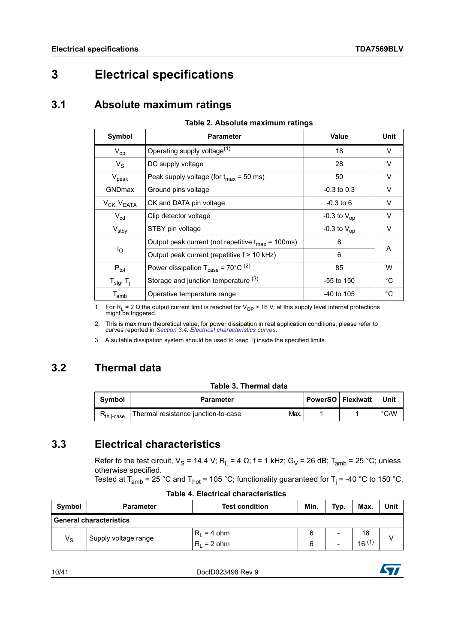# <span id="page-9-0"></span>**3 Electrical specifications**

### <span id="page-9-1"></span>**3.1 Absolute maximum ratings**

#### **Table 2. Absolute maximum ratings**

<span id="page-9-4"></span>

| Symbol                             | <b>Parameter</b>                                                | Value            | Unit |  |
|------------------------------------|-----------------------------------------------------------------|------------------|------|--|
| $V_{op}$                           | Operating supply voltage <sup>(1)</sup>                         | 18               | V    |  |
| $V_{\rm S}$                        | DC supply voltage                                               | 28               | V    |  |
| $V_{\rm peak}$                     | Peak supply voltage (for $t_{\text{max}}$ = 50 ms)              | 50               | V    |  |
| <b>GNDmax</b>                      | Ground pins voltage                                             | $-0.3$ to 0.3    | V    |  |
| V <sub>CK,</sub> V <sub>DATA</sub> | CK and DATA pin voltage                                         | $-0.3$ to 6      | V    |  |
| $V_{cd}$                           | Clip detector voltage                                           | -0.3 to $V_{op}$ | V    |  |
| $V_{\text{stby}}$                  | STBY pin voltage                                                | -0.3 to $V_{op}$ | V    |  |
|                                    | Output peak current (not repetitive $t_{max}$ = 100ms)          | 8                |      |  |
| $I_{\rm O}$                        | Output peak current (repetitive f > 10 kHz)                     | 6                | A    |  |
| $P_{\text{tot}}$                   | Power dissipation $T_{\text{case}} = 70^{\circ} \text{C}^{(2)}$ | 85               | W    |  |
| $T_{\text{stg}}$ , $T_{\text{j}}$  | Storage and junction temperature (3)                            | $-55$ to 150     | °C   |  |
| $\mathsf{T}_{\mathsf{amb}}$        | Operative temperature range                                     | $-40$ to 105     | °C   |  |

1. For R<sub>L</sub> = 2 Ω the output current limit is reached for V<sub>OP</sub> > 16 V; at this supply level internal protections might be triggered.

2. This is maximum theoretical value; for power dissipation in real application conditions, please refer to curves reported in *[Section 3.4: Electrical characteristics curves](#page-13-0)*.

3. A suitable dissipation system should be used to keep Tj inside the specified limits.

### <span id="page-9-2"></span>**3.2 Thermal data**

|  |  | Table 3. Thermal data |  |
|--|--|-----------------------|--|
|--|--|-----------------------|--|

<span id="page-9-5"></span>

| Symbol                 | <b>Parameter</b>                            | l PowerSO ∣ Flexiwatt i | Unit          |
|------------------------|---------------------------------------------|-------------------------|---------------|
| R <sub>th j-case</sub> | Max.<br>Thermal resistance junction-to-case |                         | $\degree$ C/W |

### <span id="page-9-3"></span>**3.3 Electrical characteristics**

Refer to the test circuit,  $V_S = 14.4$  V; R<sub>L</sub> = 4  $\Omega$ ; f = 1 kHz; G<sub>V</sub> = 26 dB; T<sub>amb</sub> = 25 °C; unless otherwise specified.

Tested at T<sub>amb</sub> = 25 °C and T<sub>hot</sub> = 105 °C; functionality guaranteed for T<sub>j</sub> = -40 °C to 150 °C.

<span id="page-9-6"></span>

| Symbol                         | <b>Parameter</b>     | <b>Test condition</b> | Min. | Typ.                     | Max.       | Unit |  |
|--------------------------------|----------------------|-----------------------|------|--------------------------|------------|------|--|
| <b>General characteristics</b> |                      |                       |      |                          |            |      |  |
| $V_{\rm S}$                    | Supply voltage range | $R_1 = 4$ ohm         | 6    | $\overline{\phantom{a}}$ | 18         |      |  |
|                                |                      | $R_1 = 2$ ohm         | 6    |                          | $16^{(1)}$ |      |  |

1[0/41](#page-40-0) DocID023498 Rev 9

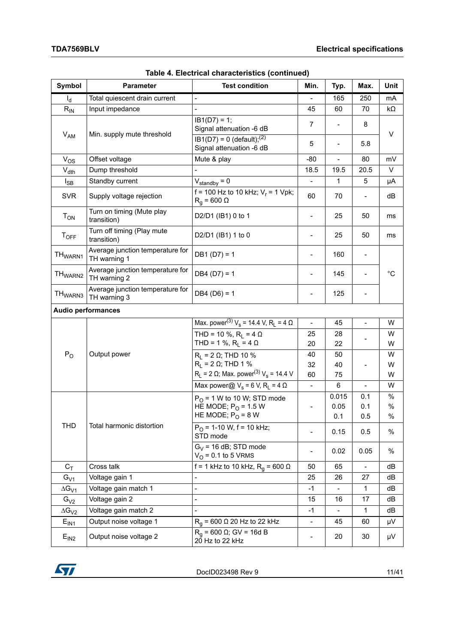| Symbol              | Parameter                                        | <b>Test condition</b>                                                 | Min.                     | Typ.                     | Max.                     | Unit        |
|---------------------|--------------------------------------------------|-----------------------------------------------------------------------|--------------------------|--------------------------|--------------------------|-------------|
| $I_d$               | Total quiescent drain current                    | -                                                                     | $\overline{\phantom{0}}$ | 165                      | 250                      | mA          |
| $R_{IN}$            | Input impedance                                  |                                                                       | 45                       | 60                       | 70                       | kΩ          |
| $V_{AM}$            | Min. supply mute threshold                       | $IB1(D7) = 1;$<br>Signal attenuation -6 dB                            | $\overline{7}$           | $\overline{\phantom{0}}$ | 8                        | V           |
|                     |                                                  | $IB1(D7) = 0$ (default); <sup>(2)</sup><br>Signal attenuation -6 dB   | 5                        | $\overline{\phantom{0}}$ | 5.8                      |             |
| $V_{OS}$            | Offset voltage                                   | Mute & play                                                           | $-80$                    | $\overline{a}$           | 80                       | mV          |
| $V_{dth}$           | Dump threshold                                   |                                                                       | 18.5                     | 19.5                     | 20.5                     | V           |
| $I_{SB}$            | Standby current                                  | $V_{\text{standby}} = 0$                                              | $\overline{\phantom{0}}$ | 1                        | 5                        | μA          |
| <b>SVR</b>          | Supply voltage rejection                         | f = 100 Hz to 10 kHz; $V_r$ = 1 Vpk;<br>$R_q$ = 600 $\Omega$          | 60                       | 70                       |                          | dB          |
| $T_{ON}$            | Turn on timing (Mute play<br>transition)         | D2/D1 (IB1) 0 to 1                                                    | $\overline{\phantom{0}}$ | 25                       | 50                       | ms          |
| $T_{OFF}$           | Turn off timing (Play mute<br>transition)        | D2/D1 (IB1) 1 to 0                                                    | $\overline{\phantom{0}}$ | 25                       | 50                       | ms          |
| TH <sub>WARN1</sub> | Average junction temperature for<br>TH warning 1 | $DB1(D7) = 1$                                                         | $\overline{\phantom{0}}$ | 160                      | $\overline{\phantom{a}}$ |             |
| TH <sub>WARN2</sub> | Average junction temperature for<br>TH warning 2 | $DB4 (D7) = 1$                                                        | $\overline{\phantom{0}}$ | 145                      |                          | $^{\circ}C$ |
| TH <sub>WARN3</sub> | Average junction temperature for<br>TH warning 3 | $DB4 (D6) = 1$                                                        |                          | 125                      |                          |             |
|                     | <b>Audio performances</b>                        |                                                                       |                          |                          |                          |             |
|                     | Output power                                     | Max. power <sup>(3)</sup> $V_s$ = 14.4 V, R <sub>1</sub> = 4 $\Omega$ | $\blacksquare$           | 45                       | $\overline{\phantom{a}}$ | W           |
|                     |                                                  | THD = 10 %, $R_1$ = 4 $\Omega$                                        | 25                       | 28                       |                          | W           |
|                     |                                                  | THD = 1 %, $R_L$ = 4 $\Omega$                                         | 20                       | 22                       |                          | W           |
| $P_{O}$             |                                                  | $R_L$ = 2 $\Omega$ ; THD 10 %                                         | 40                       | 50                       |                          | W           |
|                     |                                                  | $R_1$ = 2 Ω; THD 1 %                                                  | 32                       | 40                       |                          | W           |
|                     |                                                  | $R_1$ = 2 Ω; Max. power <sup>(3)</sup> V <sub>s</sub> = 14.4 V        | 60                       | 75                       |                          | W           |
|                     |                                                  | Max power@ $V_s$ = 6 V, R <sub>L</sub> = 4 $\Omega$                   | $\overline{\phantom{a}}$ | 6                        |                          | W           |
|                     | Total harmonic distortion                        | $P_{\Omega}$ = 1 W to 10 W; STD mode                                  | $\overline{\phantom{0}}$ | 0.015                    | 0.1                      | %           |
|                     |                                                  | HE MODE; $P_{O}$ = 1.5 W                                              |                          | 0.05                     | 0.1                      | %           |
|                     |                                                  | HE MODE; $PO = 8 W$                                                   |                          | 0.1                      | 0.5                      | $\%$        |
| <b>THD</b>          |                                                  | $P_{O}$ = 1-10 W, f = 10 kHz;<br>STD mode                             | $\qquad \qquad -$        | 0.15                     | 0.5                      | %           |
|                     |                                                  | $G_V$ = 16 dB; STD mode<br>$V_{\Omega}$ = 0.1 to 5 VRMS               | $\overline{\phantom{0}}$ | 0.02                     | 0.05                     | $\%$        |
| $C_T$               | Cross talk                                       | f = 1 kHz to 10 kHz, $R_0$ = 600 $\Omega$                             | 50                       | 65                       | $\blacksquare$           | dB          |
| $G_{V1}$            | Voltage gain 1                                   | -                                                                     | 25                       | 26                       | 27                       | dB          |
| $\Delta G_{V1}$     | Voltage gain match 1                             | -                                                                     | $-1$                     | $\blacksquare$           | $\mathbf 1$              | dB          |
| $G_{V2}$            | Voltage gain 2                                   | $\overline{\phantom{0}}$                                              | 15                       | 16                       | 17                       | dB          |
| $\Delta G_{V2}$     | Voltage gain match 2                             |                                                                       | $-1$                     |                          | 1                        | dB          |
| $E_{IN1}$           | Output noise voltage 1                           | $R_q$ = 600 $\Omega$ 20 Hz to 22 kHz                                  | $\blacksquare$           | 45                       | 60                       | μV          |
| E <sub>IN2</sub>    | Output noise voltage 2                           | $R_q$ = 600 $\Omega$ ; GV = 16d B<br>20 Hz to 22 kHz                  | -                        | 20                       | 30                       | μV          |

**Table 4. Electrical characteristics (continued)**

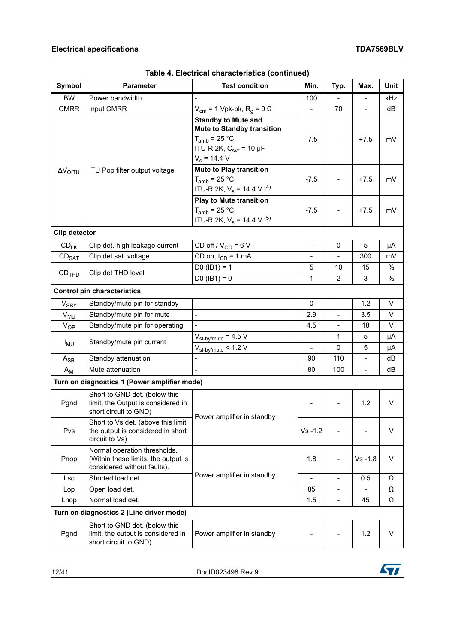| Symbol               | <b>Parameter</b>                                                                                   | <b>Test condition</b>                                                                                                                         | Min.                     | Typ.                     | Max.                     | Unit |
|----------------------|----------------------------------------------------------------------------------------------------|-----------------------------------------------------------------------------------------------------------------------------------------------|--------------------------|--------------------------|--------------------------|------|
| <b>BW</b>            | Power bandwidth                                                                                    | $\overline{\phantom{a}}$                                                                                                                      | 100                      | $\blacksquare$           | $\overline{\phantom{a}}$ | kHz  |
| <b>CMRR</b>          | Input CMRR                                                                                         | $V_{\text{cm}}$ = 1 Vpk-pk, R <sub>q</sub> = 0 $\Omega$                                                                                       |                          | 70                       |                          | dB   |
|                      |                                                                                                    | <b>Standby to Mute and</b><br><b>Mute to Standby transition</b><br>$T_{amb}$ = 25 °C,<br>ITU-R 2K, $C_{\text{svr}}$ = 10 µF<br>$V_s = 14.4 V$ | $-7.5$                   |                          | $+7.5$                   | mV   |
| $\Delta V_{OITU}$    | ITU Pop filter output voltage                                                                      | <b>Mute to Play transition</b><br>$T_{amb}$ = 25 °C,<br>ITU-R 2K, $V_s$ = 14.4 V <sup>(4)</sup>                                               | $-7.5$                   |                          | $+7.5$                   | mV   |
|                      |                                                                                                    | <b>Play to Mute transition</b><br>$T_{amb}$ = 25 °C,<br>ITU-R 2K, $V_s$ = 14.4 V <sup>(5)</sup>                                               | $-7.5$                   |                          | $+7.5$                   | mV   |
| <b>Clip detector</b> |                                                                                                    |                                                                                                                                               |                          |                          |                          |      |
| $CD_{LK}$            | Clip det. high leakage current                                                                     | CD off / $V_{CD}$ = 6 V                                                                                                                       | $\overline{\phantom{a}}$ | 0                        | 5                        | μA   |
| CD <sub>SAT</sub>    | Clip det sat. voltage                                                                              | CD on; $I_{CD} = 1$ mA                                                                                                                        |                          |                          | 300                      | mV   |
|                      |                                                                                                    | $D0$ (IB1) = 1                                                                                                                                | 5                        | 10                       | 15                       | %    |
| CD <sub>THD</sub>    | Clip det THD level                                                                                 | $D0 (IB1) = 0$                                                                                                                                | $\mathbf{1}$             | $\overline{2}$           | 3                        | %    |
|                      | <b>Control pin characteristics</b>                                                                 |                                                                                                                                               |                          |                          |                          |      |
| V <sub>SBY</sub>     | Standby/mute pin for standby                                                                       | $\overline{\phantom{a}}$                                                                                                                      | 0                        | $\blacksquare$           | 1.2                      | V    |
| $V_{MU}$             | Standby/mute pin for mute                                                                          | $\overline{a}$                                                                                                                                | 2.9                      | $\overline{a}$           | 3.5                      | V    |
| $V_{OP}$             | Standby/mute pin for operating                                                                     |                                                                                                                                               | 4.5                      | $\overline{\phantom{0}}$ | 18                       | V    |
| $I_{MU}$             | Standby/mute pin current                                                                           | $V_{\text{st-by/mute}}$ = 4.5 V                                                                                                               | $\blacksquare$           | 1                        | 5                        | μA   |
|                      |                                                                                                    | $V_{\text{st-by/mute}}$ < 1.2 V                                                                                                               |                          | 0                        | 5                        | μA   |
| $A_{SB}$             | Standby attenuation                                                                                |                                                                                                                                               | 90                       | 110                      | $\overline{\phantom{a}}$ | dВ   |
| $A_{M}$              | Mute attenuation                                                                                   | $\sim$                                                                                                                                        | 80                       | 100                      | $\blacksquare$           | dB   |
|                      | Turn on diagnostics 1 (Power amplifier mode)                                                       |                                                                                                                                               |                          |                          |                          |      |
| Pgnd                 | Short to GND det. (below this<br>limit, the Output is considered in<br>short circuit to GND)       | Power amplifier in standby                                                                                                                    |                          |                          | 1.2                      | V    |
| Pvs                  | Short to Vs det. (above this limit,<br>the output is considered in short<br>circuit to Vs)         |                                                                                                                                               | $Vs - 1.2$               |                          |                          | V    |
| Pnop                 | Normal operation thresholds.<br>(Within these limits, the output is<br>considered without faults). |                                                                                                                                               | 1.8                      |                          | $Vs - 1.8$               | V    |
| <b>Lsc</b>           | Shorted load det.                                                                                  | Power amplifier in standby                                                                                                                    | $\overline{\phantom{a}}$ | $\frac{1}{2}$            | 0.5                      | Ω    |
| Lop                  | Open load det.                                                                                     |                                                                                                                                               | 85                       | $\overline{\phantom{0}}$ |                          | Ω    |
| Lnop                 | Normal load det.                                                                                   |                                                                                                                                               | 1.5                      | $\overline{\phantom{0}}$ | 45                       | Ω    |
|                      | Turn on diagnostics 2 (Line driver mode)                                                           |                                                                                                                                               |                          |                          |                          |      |
| Pgnd                 | Short to GND det. (below this<br>limit, the output is considered in<br>short circuit to GND)       | Power amplifier in standby                                                                                                                    |                          |                          | 1.2                      | V    |

| Table 4. Electrical characteristics (continued) |  |
|-------------------------------------------------|--|
|-------------------------------------------------|--|

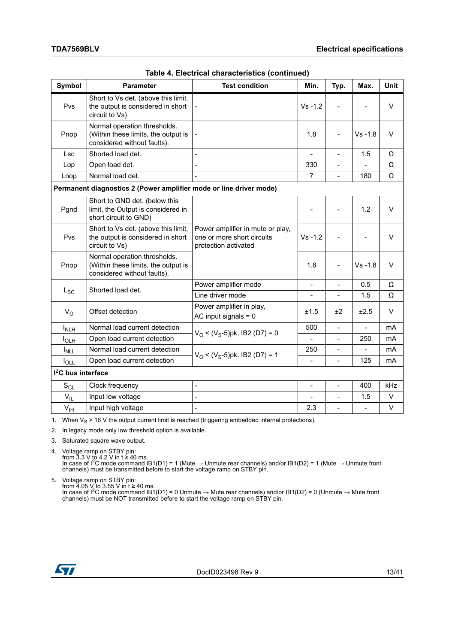| Symbol                   | <b>Parameter</b>                                                                                   | <b>Test condition</b>                                                                  | Min.                     | Typ.                     | Max.                     | <b>Unit</b> |
|--------------------------|----------------------------------------------------------------------------------------------------|----------------------------------------------------------------------------------------|--------------------------|--------------------------|--------------------------|-------------|
| Pvs                      | Short to Vs det. (above this limit,<br>the output is considered in short<br>circuit to Vs)         |                                                                                        | $Vs - 1.2$               |                          |                          | V           |
| Pnop                     | Normal operation thresholds.<br>(Within these limits, the output is<br>considered without faults). |                                                                                        | 1.8                      |                          | $Vs - 1.8$               | V           |
| Lsc                      | Shorted load det.                                                                                  | $\overline{a}$                                                                         |                          | $\overline{a}$           | 1.5                      | Ω           |
| Lop                      | Open load det.                                                                                     | $\overline{a}$                                                                         | 330                      | $\overline{a}$           |                          | Ω           |
| Lnop                     | Normal load det.                                                                                   | $\overline{a}$                                                                         | $\overline{7}$           | $\overline{\phantom{a}}$ | 180                      | Ω           |
|                          | Permanent diagnostics 2 (Power amplifier mode or line driver mode)                                 |                                                                                        |                          |                          |                          |             |
| Pgnd                     | Short to GND det. (below this<br>limit, the Output is considered in<br>short circuit to GND)       |                                                                                        | $\overline{\phantom{0}}$ |                          | 1.2                      | $\vee$      |
| Pvs                      | Short to Vs det. (above this limit,<br>the output is considered in short<br>circuit to Vs)         | Power amplifier in mute or play,<br>one or more short circuits<br>protection activated | $Vs - 1.2$               |                          |                          | V           |
| Pnop                     | Normal operation thresholds.<br>(Within these limits, the output is<br>considered without faults). |                                                                                        | 1.8                      |                          | $Vs - 1.8$               | V           |
|                          | Shorted load det.                                                                                  | Power amplifier mode                                                                   | $\overline{\phantom{0}}$ | $\overline{\phantom{0}}$ | 0.5                      | Ω           |
| $L_{SC}$                 |                                                                                                    | Line driver mode                                                                       | $\overline{\phantom{a}}$ | $\blacksquare$           | 1.5                      | Ω           |
| $V_{\Omega}$             | Offset detection                                                                                   | Power amplifier in play,<br>AC input signals $= 0$                                     | ±1.5                     | ±2                       | ±2.5                     | V           |
| $I_{NLH}$                | Normal load current detection                                                                      |                                                                                        | 500                      | $\overline{\phantom{a}}$ | $\blacksquare$           | mA          |
| $I_{OLH}$                | Open load current detection                                                                        | $V_O < (V_S - 5)$ pk, IB2 (D7) = 0                                                     |                          | $\overline{a}$           | 250                      | mA          |
| $I_{NLL}$                | Normal load current detection                                                                      |                                                                                        | 250                      | $\overline{\phantom{a}}$ | $\blacksquare$           | mA          |
| $I_{\text{OLL}}$         | Open load current detection                                                                        | $V_O < (V_S - 5)$ pk, IB2 (D7) = 1                                                     |                          |                          | 125                      | mA          |
| $I2C$ bus interface      |                                                                                                    |                                                                                        |                          |                          |                          |             |
| $\mathbf{S}_{\text{CL}}$ | Clock frequency                                                                                    | $\frac{1}{2}$                                                                          | $\blacksquare$           | $\overline{a}$           | 400                      | kHz         |
| $V_{IL}$                 | Input low voltage                                                                                  | L,                                                                                     |                          |                          | 1.5                      | V           |
| $V_{\text{IH}}$          | Input high voltage                                                                                 | $\frac{1}{2}$                                                                          | 2.3                      | $\overline{a}$           | $\overline{\phantom{a}}$ | V           |

|  | Table 4. Electrical characteristics (continued) |  |
|--|-------------------------------------------------|--|
|  |                                                 |  |

1. When  $V_S > 16$  V the output current limit is reached (triggering embedded internal protections).

2. In legacy mode only low threshold option is available.

3. Saturated square wave output.

4. Voltage ramp on STBY pin: from 3.3 V to 4.2 V in t ≥ 40 ms.<br>In case of I<sup>2</sup>C mode command IB1(D1) = 1 (Mute → Unmute rear channels) and/or IB1(D2) = 1 (Mute → Unmute front channels) must be transmitted before to start the voltage ramp on STBY pin.

5. Voltage ramp on STBY pin:

from 4.05 V to 3.55 V in t ≥ 40 ms.<br>In case of I<sup>2</sup>C mode command IB1(D1) = 0 Unmute → Mute rear channels) and/or IB1(D2) = 0 (Unmute → Mute front<br>channels) must be NOT transmitted before to start the voltage ramp on STBY

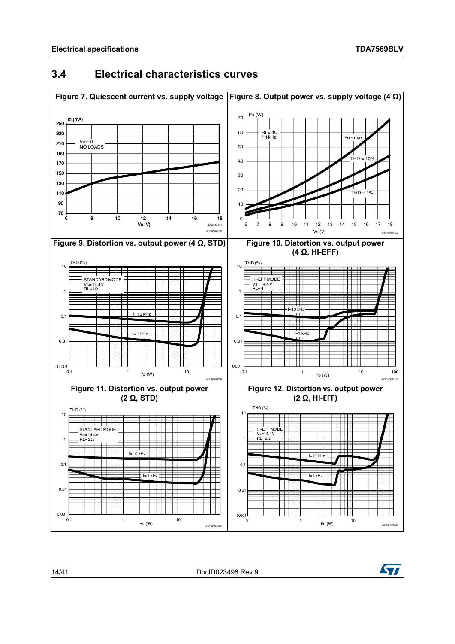### <span id="page-13-2"></span><span id="page-13-0"></span>**3.4 Electrical characteristics curves**

<span id="page-13-4"></span><span id="page-13-3"></span><span id="page-13-1"></span>

<span id="page-13-5"></span>14/[41](#page-40-0) DocID023498 Rev 9

<span id="page-13-6"></span>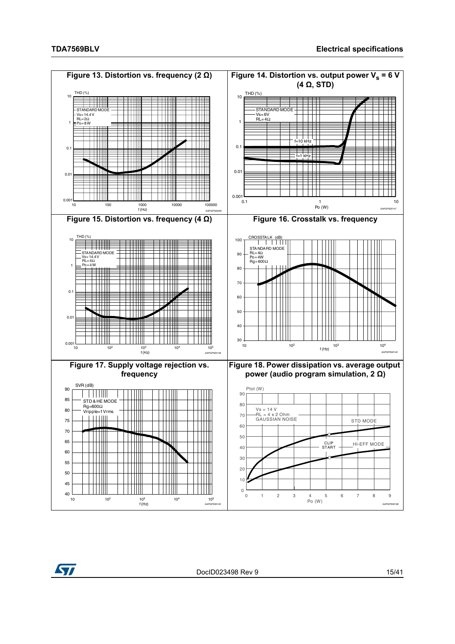<span id="page-14-3"></span><span id="page-14-2"></span><span id="page-14-1"></span><span id="page-14-0"></span>

<span id="page-14-4"></span>

<span id="page-14-5"></span>DocID023498 Rev 9 15/[41](#page-40-0)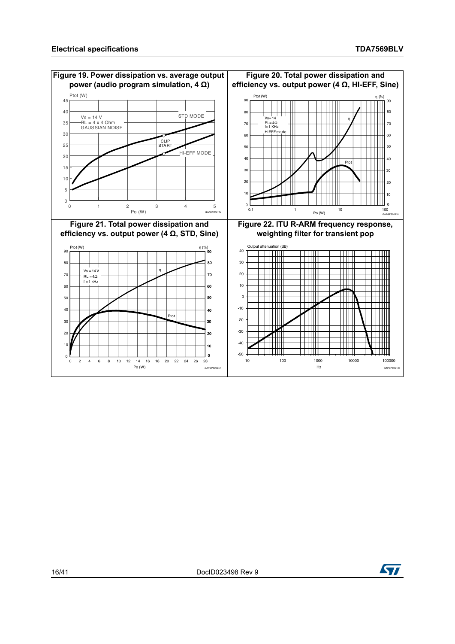<span id="page-15-3"></span><span id="page-15-2"></span><span id="page-15-1"></span><span id="page-15-0"></span>

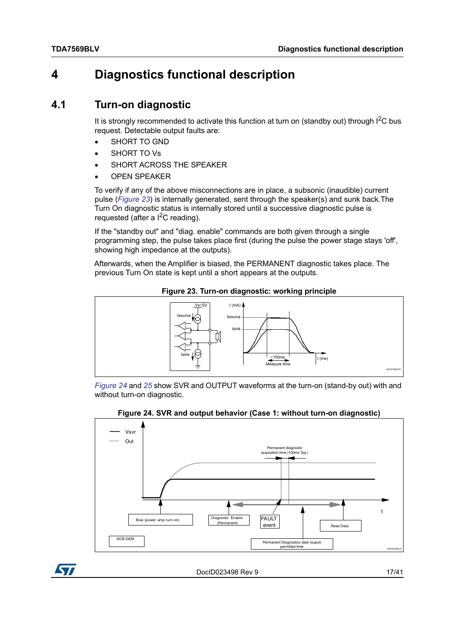# <span id="page-16-0"></span>**4 Diagnostics functional description**

### <span id="page-16-1"></span>**4.1 Turn-on diagnostic**

It is strongly recommended to activate this function at turn on (standby out) through  $I<sup>2</sup>C$  bus request. Detectable output faults are:

- SHORT TO GND
- SHORT TO Vs
- SHORT ACROSS THE SPEAKER
- OPEN SPEAKER

To verify if any of the above misconnections are in place, a subsonic (inaudible) current pulse (*[Figure 23](#page-16-2)*) is internally generated, sent through the speaker(s) and sunk back.The Turn On diagnostic status is internally stored until a successive diagnostic pulse is requested (after a  $I^2C$  reading).

If the "standby out" and "diag. enable" commands are both given through a single programming step, the pulse takes place first (during the pulse the power stage stays 'off', showing high impedance at the outputs).

Afterwards, when the Amplifier is biased, the PERMANENT diagnostic takes place. The previous Turn On state is kept until a short appears at the outputs.

<span id="page-16-2"></span>

**Figure 23. Turn-on diagnostic: working principle**

*[Figure 24](#page-16-3)* and *[25](#page-17-0)* show SVR and OUTPUT waveforms at the turn-on (stand-by out) with and without turn-on diagnostic.



<span id="page-16-3"></span>

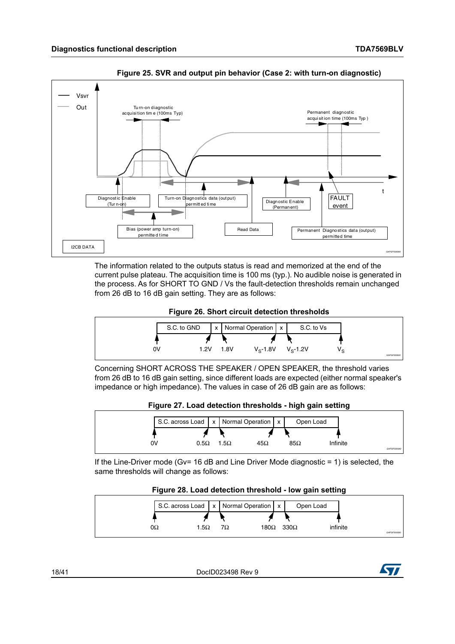

<span id="page-17-0"></span>**Figure 25. SVR and output pin behavior (Case 2: with turn-on diagnostic)**

The information related to the outputs status is read and memorized at the end of the current pulse plateau. The acquisition time is 100 ms (typ.). No audible noise is generated in the process. As for SHORT TO GND / Vs the fault-detection thresholds remain unchanged from 26 dB to 16 dB gain setting. They are as follows:



<span id="page-17-1"></span>

Concerning SHORT ACROSS THE SPEAKER / OPEN SPEAKER, the threshold varies from 26 dB to 16 dB gain setting, since different loads are expected (either normal speaker's impedance or high impedance). The values in case of 26 dB gain are as follows:



<span id="page-17-2"></span>

If the Line-Driver mode (Gv= 16 dB and Line Driver Mode diagnostic = 1) is selected, the same thresholds will change as follows:

**Figure 28. Load detection threshold - low gain setting**

<span id="page-17-3"></span>

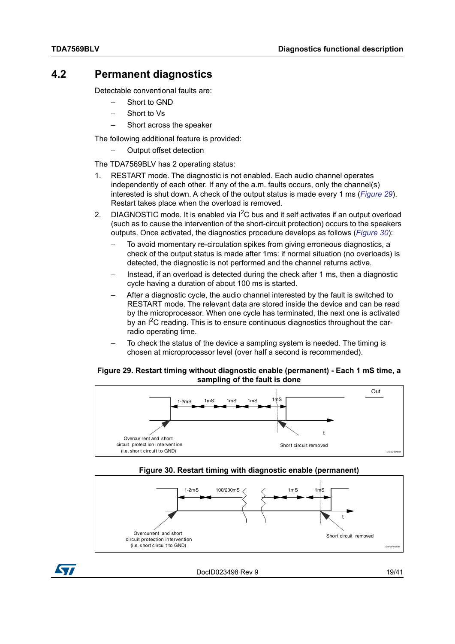### <span id="page-18-0"></span>**4.2 Permanent diagnostics**

Detectable conventional faults are:

- Short to GND
- Short to Vs
- Short across the speaker

The following additional feature is provided:

– Output offset detection

The TDA7569BLV has 2 operating status:

- 1. RESTART mode. The diagnostic is not enabled. Each audio channel operates independently of each other. If any of the a.m. faults occurs, only the channel(s) interested is shut down. A check of the output status is made every 1 ms (*[Figure](#page-18-1) 29*). Restart takes place when the overload is removed.
- 2. DIAGNOSTIC mode. It is enabled via  $I^2C$  bus and it self activates if an output overload (such as to cause the intervention of the short-circuit protection) occurs to the speakers outputs. Once activated, the diagnostics procedure develops as follows (*[Figure](#page-18-2) 30*):
	- To avoid momentary re-circulation spikes from giving erroneous diagnostics, a check of the output status is made after 1ms: if normal situation (no overloads) is detected, the diagnostic is not performed and the channel returns active.
	- Instead, if an overload is detected during the check after 1 ms, then a diagnostic cycle having a duration of about 100 ms is started.
	- After a diagnostic cycle, the audio channel interested by the fault is switched to RESTART mode. The relevant data are stored inside the device and can be read by the microprocessor. When one cycle has terminated, the next one is activated by an I2C reading. This is to ensure continuous diagnostics throughout the carradio operating time.
	- To check the status of the device a sampling system is needed. The timing is chosen at microprocessor level (over half a second is recommended).

#### <span id="page-18-1"></span>**Figure 29. Restart timing without diagnostic enable (permanent) - Each 1 mS time, a sampling of the fault is done**





<span id="page-18-2"></span>

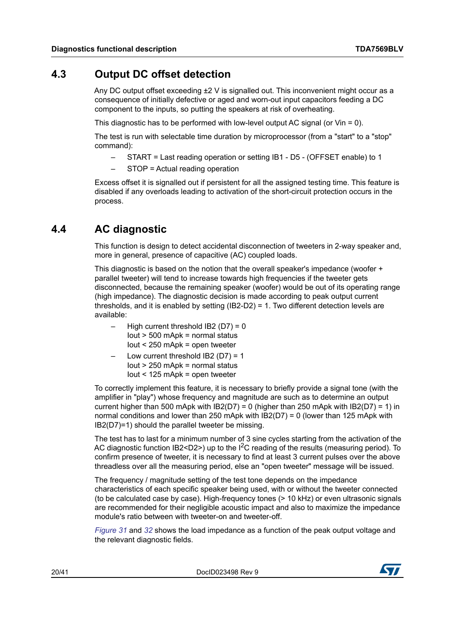### <span id="page-19-0"></span>**4.3 Output DC offset detection**

Any DC output offset exceeding  $\pm 2$  V is signalled out. This inconvenient might occur as a consequence of initially defective or aged and worn-out input capacitors feeding a DC component to the inputs, so putting the speakers at risk of overheating.

This diagnostic has to be performed with low-level output AC signal (or Vin = 0).

The test is run with selectable time duration by microprocessor (from a "start" to a "stop" command):

- START = Last reading operation or setting IB1 D5 (OFFSET enable) to 1
- STOP = Actual reading operation

Excess offset it is signalled out if persistent for all the assigned testing time. This feature is disabled if any overloads leading to activation of the short-circuit protection occurs in the process.

### <span id="page-19-1"></span>**4.4 AC diagnostic**

This function is design to detect accidental disconnection of tweeters in 2-way speaker and, more in general, presence of capacitive (AC) coupled loads.

This diagnostic is based on the notion that the overall speaker's impedance (woofer + parallel tweeter) will tend to increase towards high frequencies if the tweeter gets disconnected, because the remaining speaker (woofer) would be out of its operating range (high impedance). The diagnostic decision is made according to peak output current thresholds, and it is enabled by setting (IB2-D2) = 1. Two different detection levels are available:

- High current threshold  $IB2 (D7) = 0$ Iout > 500 mApk = normal status Iout < 250 mApk = open tweeter
- Low current threshold  $IB2$  (D7) = 1 Iout > 250 mApk = normal status Iout < 125 mApk = open tweeter

To correctly implement this feature, it is necessary to briefly provide a signal tone (with the amplifier in "play") whose frequency and magnitude are such as to determine an output current higher than 500 mApk with  $IB2(D7) = 0$  (higher than 250 mApk with  $IB2(D7) = 1$ ) in normal conditions and lower than 250 mApk with IB2(D7) = 0 (lower than 125 mApk with IB2(D7)=1) should the parallel tweeter be missing.

The test has to last for a minimum number of 3 sine cycles starting from the activation of the AC diagnostic function IB2<D2>) up to the  $I^2C$  reading of the results (measuring period). To confirm presence of tweeter, it is necessary to find at least 3 current pulses over the above threadless over all the measuring period, else an "open tweeter" message will be issued.

The frequency / magnitude setting of the test tone depends on the impedance characteristics of each specific speaker being used, with or without the tweeter connected (to be calculated case by case). High-frequency tones (> 10 kHz) or even ultrasonic signals are recommended for their negligible acoustic impact and also to maximize the impedance module's ratio between with tweeter-on and tweeter-off.

*[Figure 31](#page-20-0)* and *[32](#page-20-1)* shows the load impedance as a function of the peak output voltage and the relevant diagnostic fields.

20/[41](#page-40-0) DocID023498 Rev 9

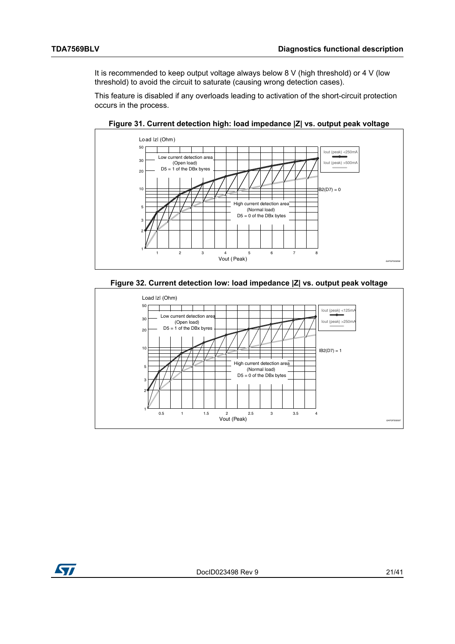It is recommended to keep output voltage always below 8 V (high threshold) or 4 V (low threshold) to avoid the circuit to saturate (causing wrong detection cases).

This feature is disabled if any overloads leading to activation of the short-circuit protection occurs in the process.

<span id="page-20-0"></span>

**Figure 31. Current detection high: load impedance |Z| vs. output peak voltage**



<span id="page-20-1"></span>

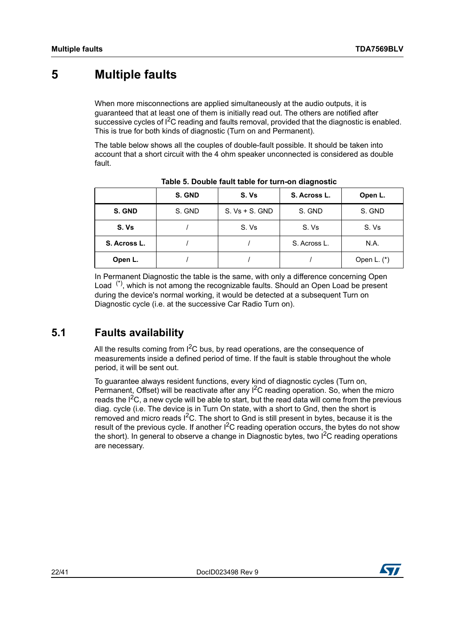# <span id="page-21-0"></span>**5 Multiple faults**

When more misconnections are applied simultaneously at the audio outputs, it is guaranteed that at least one of them is initially read out. The others are notified after successive cycles of I<sup>2</sup>C reading and faults removal, provided that the diagnostic is enabled. This is true for both kinds of diagnostic (Turn on and Permanent).

The table below shows all the couples of double-fault possible. It should be taken into account that a short circuit with the 4 ohm speaker unconnected is considered as double fault.

<span id="page-21-2"></span>

|              | S. GND | S. Vs            | S. Across L. | Open L.       |
|--------------|--------|------------------|--------------|---------------|
| S. GND       | S. GND | $S. Vs + S. GND$ | S. GND       | S. GND        |
| S. Vs        |        | S. Vs            | S. Vs        | S. Vs         |
| S. Across L. |        |                  | S. Across L. | N.A.          |
| Open L.      |        |                  |              | Open L. $(*)$ |

**Table 5. Double fault table for turn-on diagnostic**

In Permanent Diagnostic the table is the same, with only a difference concerning Open Load  $(5)$ , which is not among the recognizable faults. Should an Open Load be present during the device's normal working, it would be detected at a subsequent Turn on Diagnostic cycle (i.e. at the successive Car Radio Turn on).

### <span id="page-21-1"></span>**5.1 Faults availability**

All the results coming from  $1^2C$  bus, by read operations, are the consequence of measurements inside a defined period of time. If the fault is stable throughout the whole period, it will be sent out.

To guarantee always resident functions, every kind of diagnostic cycles (Turn on, Permanent, Offset) will be reactivate after any  $1^2C$  reading operation. So, when the micro reads the  $I<sup>2</sup>C$ , a new cycle will be able to start, but the read data will come from the previous diag. cycle (i.e. The device is in Turn On state, with a short to Gnd, then the short is removed and micro reads  $I^2C$ . The short to Gnd is still present in bytes, because it is the result of the previous cycle. If another  $I^2C$  reading operation occurs, the bytes do not show the short). In general to observe a change in Diagnostic bytes, two  $1^2C$  reading operations are necessary.

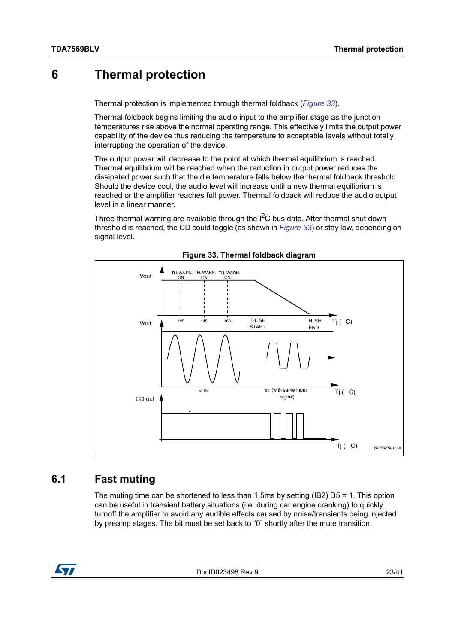### <span id="page-22-0"></span>**6 Thermal protection**

Thermal protection is implemented through thermal foldback (*[Figure 33](#page-22-2)*).

Thermal foldback begins limiting the audio input to the amplifier stage as the junction temperatures rise above the normal operating range. This effectively limits the output power capability of the device thus reducing the temperature to acceptable levels without totally interrupting the operation of the device.

The output power will decrease to the point at which thermal equilibrium is reached. Thermal equilibrium will be reached when the reduction in output power reduces the dissipated power such that the die temperature falls below the thermal foldback threshold. Should the device cool, the audio level will increase until a new thermal equilibrium is reached or the amplifier reaches full power. Thermal foldback will reduce the audio output level in a linear manner.

Three thermal warning are available through the I<sup>2</sup>C bus data. After thermal shut down threshold is reached, the CD could toggle (as shown in *[Figure 33](#page-22-2)*) or stay low, depending on signal level.

<span id="page-22-2"></span>

**Figure 33. Thermal foldback diagram**

### <span id="page-22-1"></span>**6.1 Fast muting**

The muting time can be shortened to less than 1.5ms by setting (IB2) D5 = 1. This option can be useful in transient battery situations (i.e. during car engine cranking) to quickly turnoff the amplifier to avoid any audible effects caused by noise/transients being injected by preamp stages. The bit must be set back to "0" shortly after the mute transition.



DocID023498 Rev 9 23/[41](#page-40-0)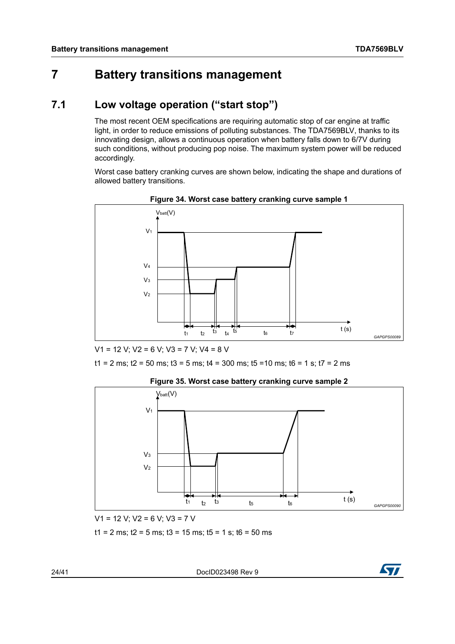# <span id="page-23-0"></span>**7 Battery transitions management**

### <span id="page-23-1"></span>**7.1 Low voltage operation ("start stop")**

The most recent OEM specifications are requiring automatic stop of car engine at traffic light, in order to reduce emissions of polluting substances. The TDA7569BLV, thanks to its innovating design, allows a continuous operation when battery falls down to 6/7V during such conditions, without producing pop noise. The maximum system power will be reduced accordingly.

Worst case battery cranking curves are shown below, indicating the shape and durations of allowed battery transitions.

<span id="page-23-2"></span>



V1 = 12 V; V2 = 6 V; V3 = 7 V; V4 = 8 V

 $t1 = 2$  ms;  $t2 = 50$  ms;  $t3 = 5$  ms;  $t4 = 300$  ms;  $t5 = 10$  ms;  $t6 = 1$  s;  $t7 = 2$  ms

<span id="page-23-3"></span>

**Figure 35. Worst case battery cranking curve sample 2** 

V1 = 12 V; V2 = 6 V; V3 = 7 V

 $t1 = 2$  ms;  $t2 = 5$  ms;  $t3 = 15$  ms;  $t5 = 1$  s;  $t6 = 50$  ms

24/[41](#page-40-0) DocID023498 Rev 9

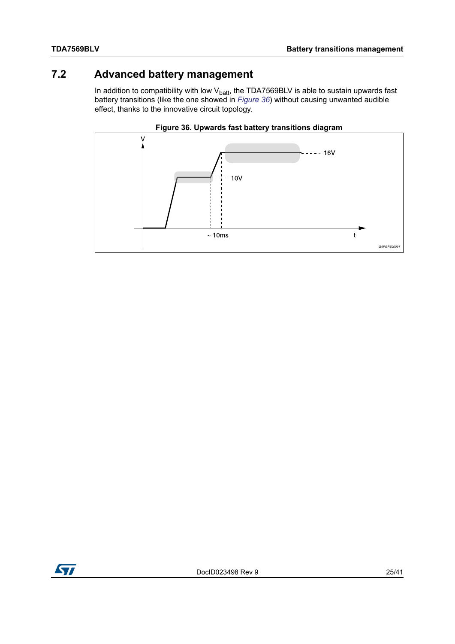## <span id="page-24-0"></span>**7.2 Advanced battery management**

In addition to compatibility with low  $V_{\text{batt}}$ , the TDA7569BLV is able to sustain upwards fast battery transitions (like the one showed in *[Figure 36](#page-24-1)*) without causing unwanted audible effect, thanks to the innovative circuit topology.

<span id="page-24-1"></span>

#### **Figure 36. Upwards fast battery transitions diagram**

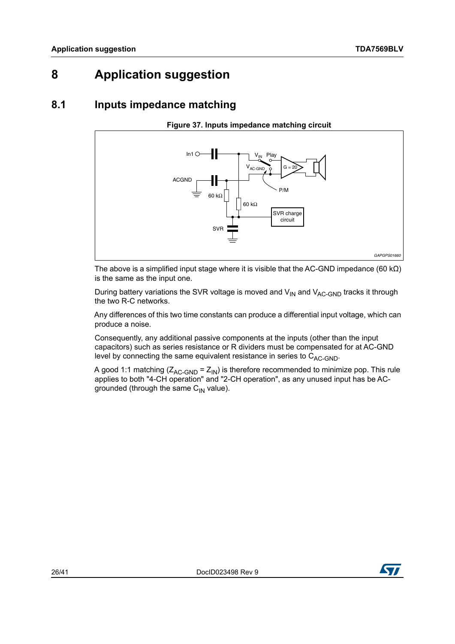# <span id="page-25-0"></span>**8 Application suggestion**

### <span id="page-25-1"></span>**8.1 Inputs impedance matching**

#### **Figure 37. Inputs impedance matching circuit**

<span id="page-25-2"></span>

The above is a simplified input stage where it is visible that the AC-GND impedance (60 k $\Omega$ ) is the same as the input one.

During battery variations the SVR voltage is moved and  $V_{IN}$  and  $V_{AC\text{-GND}}$  tracks it through the two R-C networks.

Any differences of this two time constants can produce a differential input voltage, which can produce a noise.

Consequently, any additional passive components at the inputs (other than the input capacitors) such as series resistance or R dividers must be compensated for at AC-GND level by connecting the same equivalent resistance in series to  $C_{AC-GND}$ .

A good 1:1 matching  $(Z_{AC\text{-GND}} = Z_{IN})$  is therefore recommended to minimize pop. This rule applies to both "4-CH operation" and "2-CH operation", as any unused input has be ACgrounded (through the same  $C_{IN}$  value).

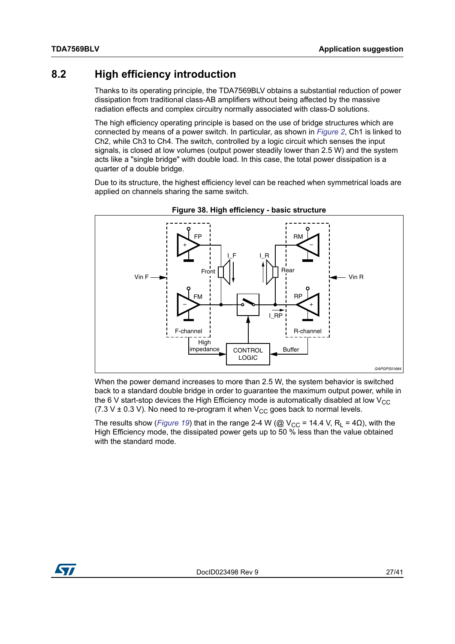### <span id="page-26-0"></span>**8.2 High efficiency introduction**

Thanks to its operating principle, the TDA7569BLV obtains a substantial reduction of power dissipation from traditional class-AB amplifiers without being affected by the massive radiation effects and complex circuitry normally associated with class-D solutions.

The high efficiency operating principle is based on the use of bridge structures which are connected by means of a power switch. In particular, as shown in *[Figure 2](#page-5-1)*, Ch1 is linked to Ch2, while Ch3 to Ch4. The switch, controlled by a logic circuit which senses the input signals, is closed at low volumes (output power steadily lower than 2.5 W) and the system acts like a "single bridge" with double load. In this case, the total power dissipation is a quarter of a double bridge.

Due to its structure, the highest efficiency level can be reached when symmetrical loads are applied on channels sharing the same switch.

<span id="page-26-1"></span>

**Figure 38. High efficiency - basic structure**

When the power demand increases to more than 2.5 W, the system behavior is switched back to a standard double bridge in order to guarantee the maximum output power, while in the 6 V start-stop devices the High Efficiency mode is automatically disabled at low  $V_{CC}$ (7.3 V  $\pm$  0.3 V). No need to re-program it when V<sub>CC</sub> goes back to normal levels.

The results show (*[Figure 19](#page-15-0)*) that in the range 2-4 W (@ V<sub>CC</sub> = 14.4 V, R<sub>L</sub> = 4 $\Omega$ ), with the High Efficiency mode, the dissipated power gets up to 50 % less than the value obtained with the standard mode.

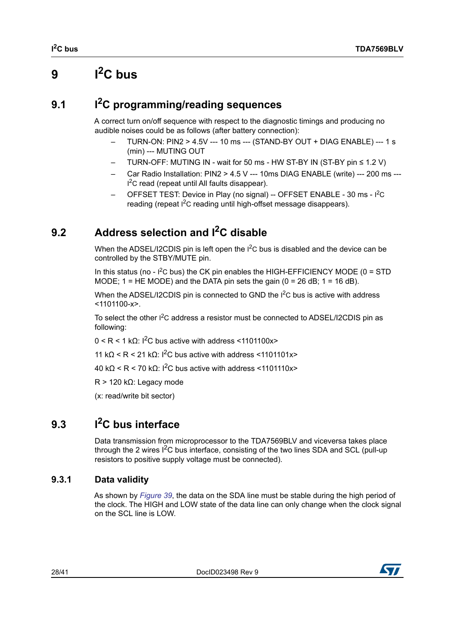# <span id="page-27-0"></span>**9**  $I^2C$  bus

# <span id="page-27-1"></span>**9.1 I2C programming/reading sequences**

A correct turn on/off sequence with respect to the diagnostic timings and producing no audible noises could be as follows (after battery connection):

- TURN-ON: PIN2 > 4.5V --- 10 ms --- (STAND-BY OUT + DIAG ENABLE) --- 1 s (min) --- MUTING OUT
- TURN-OFF: MUTING IN wait for 50 ms HW ST-BY IN (ST-BY pin ≤ 1.2 V)
- Car Radio Installation: PIN2 > 4.5 V --- 10ms DIAG ENABLE (write) --- 200 ms --- I<sup>2</sup>C read (repeat until All faults disappear).
- OFFSET TEST: Device in Play (no signal) -- OFFSET ENABLE 30 ms I<sup>2</sup>C reading (repeat  $I^2C$  reading until high-offset message disappears).

# <span id="page-27-2"></span>**9.2 Address selection and I2C disable**

When the ADSEL/I2CDIS pin is left open the  $I^2C$  bus is disabled and the device can be controlled by the STBY/MUTE pin.

In this status (no -  $I^2C$  bus) the CK pin enables the HIGH-EFFICIENCY MODE (0 = STD MODE;  $1 = HE \text{ MODE}$ ) and the DATA pin sets the gain ( $0 = 26$  dB;  $1 = 16$  dB).

When the ADSEL/I2CDIS pin is connected to GND the <sup>12</sup>C bus is active with address  $<$ 1101100-x>.

To select the other I<sup>2</sup>C address a resistor must be connected to ADSEL/I2CDIS pin as following:

 $0 \leq R \leq 1$  k $\Omega$ : I<sup>2</sup>C bus active with address  $\leq 1101100x$ 

11 kΩ < R < 21 kΩ:  $1^2$ C bus active with address <1101101x>

40 k $Ω$  < R < 70 k $Ω$ : I<sup>2</sup>C bus active with address <1101110x>

R > 120 kΩ: Legacy mode

(x: read/write bit sector)

# <span id="page-27-3"></span>**9.3 I2C bus interface**

Data transmission from microprocessor to the TDA7569BLV and viceversa takes place through the 2 wires  ${}^{12}C$  bus interface, consisting of the two lines SDA and SCL (pull-up resistors to positive supply voltage must be connected).

### <span id="page-27-4"></span>**9.3.1 Data validity**

As shown by *[Figure 39](#page-28-3)*, the data on the SDA line must be stable during the high period of the clock. The HIGH and LOW state of the data line can only change when the clock signal on the SCL line is LOW.

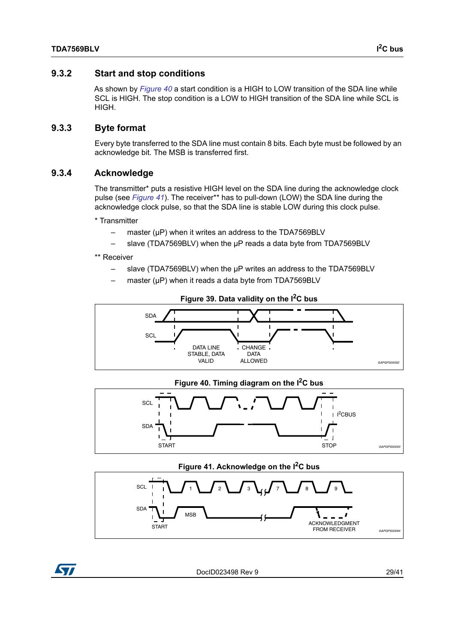<span id="page-28-0"></span>As shown by *[Figure 40](#page-28-4)* a start condition is a HIGH to LOW transition of the SDA line while SCL is HIGH. The stop condition is a LOW to HIGH transition of the SDA line while SCL is HIGH.

#### <span id="page-28-1"></span>**9.3.3 Byte format**

Every byte transferred to the SDA line must contain 8 bits. Each byte must be followed by an acknowledge bit. The MSB is transferred first.

#### <span id="page-28-2"></span>**9.3.4 Acknowledge**

The transmitter\* puts a resistive HIGH level on the SDA line during the acknowledge clock pulse (see [Figure 41](#page-28-5)). The receiver\*\* has to pull-down (LOW) the SDA line during the acknowledge clock pulse, so that the SDA line is stable LOW during this clock pulse.

\* Transmitter

- master ( $\mu$ P) when it writes an address to the TDA7569BLV
- slave (TDA7569BLV) when the μP reads a data byte from TDA7569BLV

\*\* Receiver

- slave (TDA7569BLV) when the μP writes an address to the TDA7569BLV
- master (μP) when it reads a data byte from TDA7569BLV

<span id="page-28-3"></span>



<span id="page-28-4"></span>



<span id="page-28-5"></span>

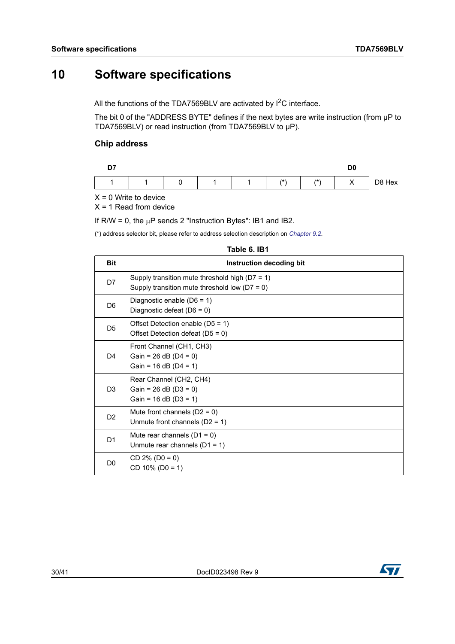# <span id="page-29-0"></span>**10 Software specifications**

All the functions of the TDA7569BLV are activated by  $1^2C$  interface.

The bit 0 of the "ADDRESS BYTE" defines if the next bytes are write instruction (from μP to TDA7569BLV) or read instruction (from TDA7569BLV to μP).

#### **Chip address**

| n <sub>7</sub> |  |  |       |       | D0 |        |
|----------------|--|--|-------|-------|----|--------|
|                |  |  | $(*)$ | $(*)$ |    | D8 Hex |

 $X = 0$  Write to device

 $X = 1$  Read from device

If  $R/W = 0$ , the  $\mu P$  sends 2 "Instruction Bytes": IB1 and IB2.

(\*) address selector bit, please refer to address selection description on *[Chapter 9.2](#page-27-2)*.

<span id="page-29-1"></span>

| 1491 U.ID      |                                                                                                       |  |  |  |  |
|----------------|-------------------------------------------------------------------------------------------------------|--|--|--|--|
| <b>Bit</b>     | Instruction decoding bit                                                                              |  |  |  |  |
| D7             | Supply transition mute threshold high ( $D7 = 1$ )<br>Supply transition mute threshold low $(D7 = 0)$ |  |  |  |  |
| D <sub>6</sub> | Diagnostic enable (D6 = 1)<br>Diagnostic defeat (D6 = 0)                                              |  |  |  |  |
| D <sub>5</sub> | Offset Detection enable ( $D5 = 1$ )<br>Offset Detection defeat ( $D5 = 0$ )                          |  |  |  |  |
| D <sub>4</sub> | Front Channel (CH1, CH3)<br>Gain = $26$ dB (D4 = 0)<br>Gain = $16$ dB (D4 = $1$ )                     |  |  |  |  |
| D <sub>3</sub> | Rear Channel (CH2, CH4)<br>Gain = $26$ dB ( $D3 = 0$ )<br>Gain = $16$ dB (D3 = 1)                     |  |  |  |  |
| D <sub>2</sub> | Mute front channels $(D2 = 0)$<br>Unmute front channels $(D2 = 1)$                                    |  |  |  |  |
| D <sub>1</sub> | Mute rear channels $(D1 = 0)$<br>Unmute rear channels $(D1 = 1)$                                      |  |  |  |  |
| D <sub>0</sub> | $CD 2\% (D0 = 0)$<br>$CD 10\% (D0 = 1)$                                                               |  |  |  |  |

#### **Table 6. IB1**

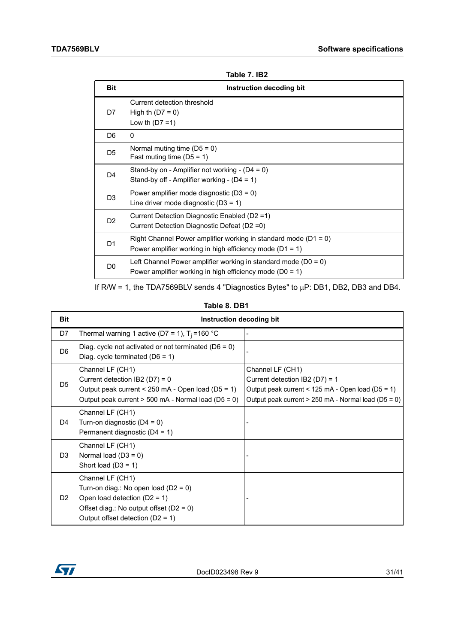<span id="page-30-0"></span>

| <b>Bit</b>     | Instruction decoding bit                                                                                                            |
|----------------|-------------------------------------------------------------------------------------------------------------------------------------|
| D7             | Current detection threshold<br>High th $(D7 = 0)$<br>Low th $(D7 = 1)$                                                              |
| D6             | 0                                                                                                                                   |
| D <sub>5</sub> | Normal muting time $(D5 = 0)$<br>Fast muting time $(D5 = 1)$                                                                        |
| D4             | Stand-by on - Amplifier not working - $(D4 = 0)$<br>Stand-by off - Amplifier working - $(D4 = 1)$                                   |
| D <sub>3</sub> | Power amplifier mode diagnostic $(D3 = 0)$<br>Line driver mode diagnostic $(D3 = 1)$                                                |
| D <sub>2</sub> | Current Detection Diagnostic Enabled (D2 = 1)<br>Current Detection Diagnostic Defeat (D2 = 0)                                       |
| D1             | Right Channel Power amplifier working in standard mode ( $D1 = 0$ )<br>Power amplifier working in high efficiency mode ( $D1 = 1$ ) |
| D0             | Left Channel Power amplifier working in standard mode ( $D0 = 0$ )<br>Power amplifier working in high efficiency mode ( $D0 = 1$ )  |

| Table 7. IB2 |  |  |
|--------------|--|--|
|--------------|--|--|

If R/W = 1, the TDA7569BLV sends 4 "Diagnostics Bytes" to  $\mu$ P: DB1, DB2, DB3 and DB4.

#### **Table 8. DB1**

<span id="page-30-1"></span>

| <b>Bit</b>     | Instruction decoding bit                                                                                                                                                        |                                                                                                                                                                    |
|----------------|---------------------------------------------------------------------------------------------------------------------------------------------------------------------------------|--------------------------------------------------------------------------------------------------------------------------------------------------------------------|
| D7             | Thermal warning 1 active (D7 = 1), $T_i$ =160 °C                                                                                                                                |                                                                                                                                                                    |
| D <sub>6</sub> | Diag. cycle not activated or not terminated ( $D6 = 0$ )<br>Diag. cycle terminated $(D6 = 1)$                                                                                   |                                                                                                                                                                    |
| D <sub>5</sub> | Channel LF (CH1)<br>Current detection IB2 (D7) = $0$<br>Output peak current < 250 mA - Open load ( $D5 = 1$ )<br>Output peak current > 500 mA - Normal load (D5 = 0)            | Channel LF (CH1)<br>Current detection IB2 (D7) = $1$<br>Output peak current < 125 mA - Open load (D5 = 1)<br>Output peak current $> 250$ mA - Normal load (D5 = 0) |
| D4             | Channel LF (CH1)<br>Turn-on diagnostic $(D4 = 0)$<br>Permanent diagnostic $(D4 = 1)$                                                                                            |                                                                                                                                                                    |
| D <sub>3</sub> | Channel LF (CH1)<br>Normal load $(D3 = 0)$<br>Short load $(D3 = 1)$                                                                                                             |                                                                                                                                                                    |
| D <sub>2</sub> | Channel LF (CH1)<br>Turn-on diag.: No open load ( $D2 = 0$ )<br>Open load detection $(D2 = 1)$<br>Offset diag.: No output offset $(D2 = 0)$<br>Output offset detection (D2 = 1) |                                                                                                                                                                    |

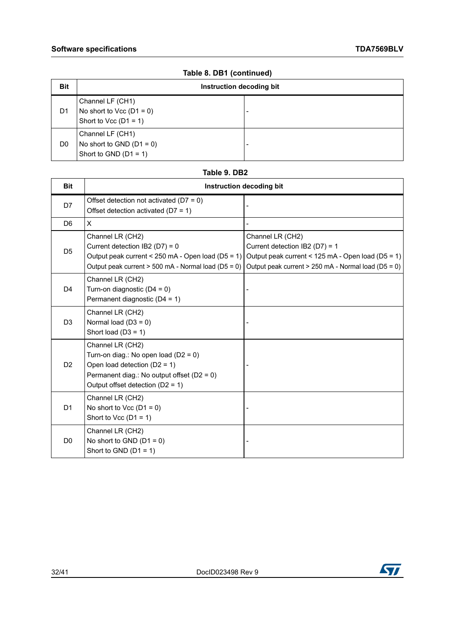| <b>Bit</b>     | Instruction decoding bit                                                  |                          |  |
|----------------|---------------------------------------------------------------------------|--------------------------|--|
| D1             | Channel LF (CH1)<br>No short to Vcc $(D1 = 0)$<br>Short to Vcc $(D1 = 1)$ | $\overline{\phantom{a}}$ |  |
| D <sub>0</sub> | Channel LF (CH1)<br>No short to GND $(D1 = 0)$<br>Short to GND $(D1 = 1)$ | -                        |  |

#### **Table 8. DB1 (continued)**

#### **Table 9. DB2**

<span id="page-31-0"></span>

| <b>Bit</b>     | <b>Instruction decoding bit</b>                                                                                                                                                      |                                                                                                                                                                |  |  |  |
|----------------|--------------------------------------------------------------------------------------------------------------------------------------------------------------------------------------|----------------------------------------------------------------------------------------------------------------------------------------------------------------|--|--|--|
| D7             | Offset detection not activated ( $D7 = 0$ )<br>Offset detection activated ( $D7 = 1$ )                                                                                               |                                                                                                                                                                |  |  |  |
| D <sub>6</sub> | X                                                                                                                                                                                    |                                                                                                                                                                |  |  |  |
| D <sub>5</sub> | Channel LR (CH2)<br>Current detection IB2 (D7) = $0$<br>Output peak current < 250 mA - Open load (D5 = 1)<br>Output peak current > 500 mA - Normal load (D5 = 0)                     | Channel LR (CH2)<br>Current detection IB2 (D7) = 1<br>Output peak current < 125 mA - Open load (D5 = 1)<br>Output peak current > 250 mA - Normal load (D5 = 0) |  |  |  |
| D <sub>4</sub> | Channel LR (CH2)<br>Turn-on diagnostic $(D4 = 0)$<br>Permanent diagnostic (D4 = 1)                                                                                                   |                                                                                                                                                                |  |  |  |
| D <sub>3</sub> | Channel LR (CH2)<br>Normal load $(D3 = 0)$<br>Short load $(D3 = 1)$                                                                                                                  |                                                                                                                                                                |  |  |  |
| D <sub>2</sub> | Channel LR (CH2)<br>Turn-on diag.: No open load ( $D2 = 0$ )<br>Open load detection $(D2 = 1)$<br>Permanent diag.: No output offset ( $D2 = 0$ )<br>Output offset detection (D2 = 1) |                                                                                                                                                                |  |  |  |
| D <sub>1</sub> | Channel LR (CH2)<br>No short to Vcc $(D1 = 0)$<br>Short to Vcc $(D1 = 1)$                                                                                                            |                                                                                                                                                                |  |  |  |
| D <sub>0</sub> | Channel LR (CH2)<br>No short to GND $(D1 = 0)$<br>Short to GND $(D1 = 1)$                                                                                                            |                                                                                                                                                                |  |  |  |

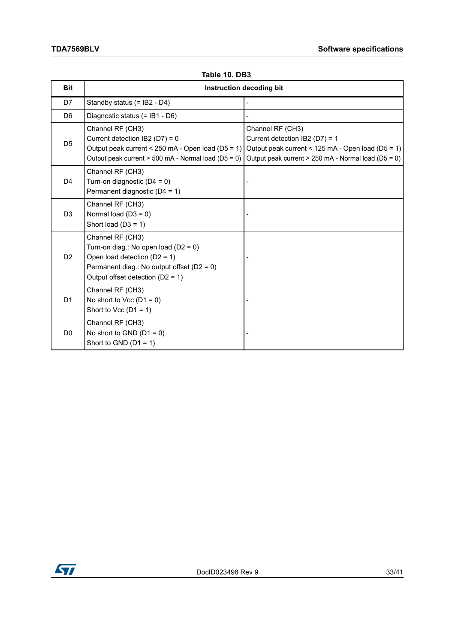<span id="page-32-0"></span>

| <b>Bit</b>     |                                                                                                                                                                                      | Instruction decoding bit                                                                                                                                         |
|----------------|--------------------------------------------------------------------------------------------------------------------------------------------------------------------------------------|------------------------------------------------------------------------------------------------------------------------------------------------------------------|
| D7             | Standby status (= IB2 - D4)                                                                                                                                                          |                                                                                                                                                                  |
| D <sub>6</sub> | Diagnostic status (= IB1 - D6)                                                                                                                                                       |                                                                                                                                                                  |
| D <sub>5</sub> | Channel RF (CH3)<br>Current detection IB2 (D7) = $0$<br>Output peak current < 250 mA - Open load ( $D5 = 1$ )<br>Output peak current > 500 mA - Normal load (D5 = 0)                 | Channel RF (CH3)<br>Current detection IB2 (D7) = 1<br>Output peak current < 125 mA - Open load (D5 = 1)<br>Output peak current $> 250$ mA - Normal load (D5 = 0) |
| D <sub>4</sub> | Channel RF (CH3)<br>Turn-on diagnostic $(D4 = 0)$<br>Permanent diagnostic (D4 = 1)                                                                                                   |                                                                                                                                                                  |
| D <sub>3</sub> | Channel RF (CH3)<br>Normal load $(D3 = 0)$<br>Short load $(D3 = 1)$                                                                                                                  |                                                                                                                                                                  |
| D <sub>2</sub> | Channel RF (CH3)<br>Turn-on diag.: No open load ( $D2 = 0$ )<br>Open load detection $(D2 = 1)$<br>Permanent diag.: No output offset ( $D2 = 0$ )<br>Output offset detection (D2 = 1) |                                                                                                                                                                  |
| D <sub>1</sub> | Channel RF (CH3)<br>No short to Vcc $(D1 = 0)$<br>Short to Vcc $(D1 = 1)$                                                                                                            |                                                                                                                                                                  |
| D <sub>0</sub> | Channel RF (CH3)<br>No short to GND $(D1 = 0)$<br>Short to GND $(D1 = 1)$                                                                                                            |                                                                                                                                                                  |

#### **Table 10. DB3**

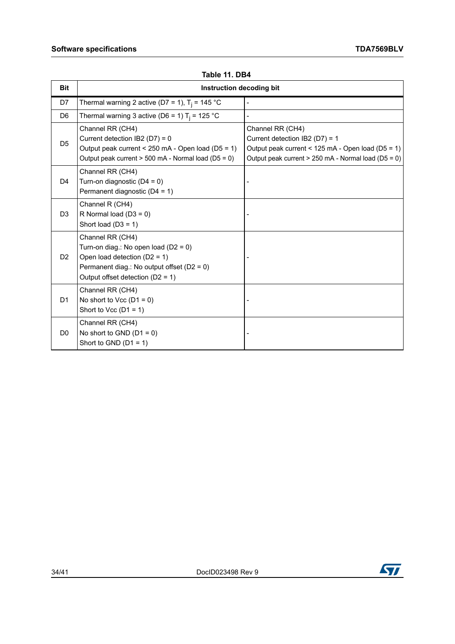<span id="page-33-0"></span>

| <b>Bit</b>     | Instruction decoding bit                                                                                                                                                             |                                                                                                                                                                |
|----------------|--------------------------------------------------------------------------------------------------------------------------------------------------------------------------------------|----------------------------------------------------------------------------------------------------------------------------------------------------------------|
| D7             | Thermal warning 2 active (D7 = 1), $T_i$ = 145 °C                                                                                                                                    |                                                                                                                                                                |
| D <sub>6</sub> | Thermal warning 3 active (D6 = 1) $T_i$ = 125 °C                                                                                                                                     |                                                                                                                                                                |
| D <sub>5</sub> | Channel RR (CH4)<br>Current detection IB2 (D7) = $0$<br>Output peak current < 250 mA - Open load (D5 = 1)<br>Output peak current > 500 mA - Normal load (D5 = 0)                     | Channel RR (CH4)<br>Current detection IB2 (D7) = 1<br>Output peak current < 125 mA - Open load (D5 = 1)<br>Output peak current > 250 mA - Normal load (D5 = 0) |
| D <sub>4</sub> | Channel RR (CH4)<br>Turn-on diagnostic $(D4 = 0)$<br>Permanent diagnostic (D4 = 1)                                                                                                   |                                                                                                                                                                |
| D <sub>3</sub> | Channel R (CH4)<br>R Normal load $(D3 = 0)$<br>Short load $(D3 = 1)$                                                                                                                 |                                                                                                                                                                |
| D <sub>2</sub> | Channel RR (CH4)<br>Turn-on diag.: No open load ( $D2 = 0$ )<br>Open load detection $(D2 = 1)$<br>Permanent diag.: No output offset ( $D2 = 0$ )<br>Output offset detection (D2 = 1) |                                                                                                                                                                |
| D <sub>1</sub> | Channel RR (CH4)<br>No short to Vcc $(D1 = 0)$<br>Short to Vcc $(D1 = 1)$                                                                                                            |                                                                                                                                                                |
| D <sub>0</sub> | Channel RR (CH4)<br>No short to GND $(D1 = 0)$<br>Short to GND $(D1 = 1)$                                                                                                            |                                                                                                                                                                |

**Table 11. DB4**

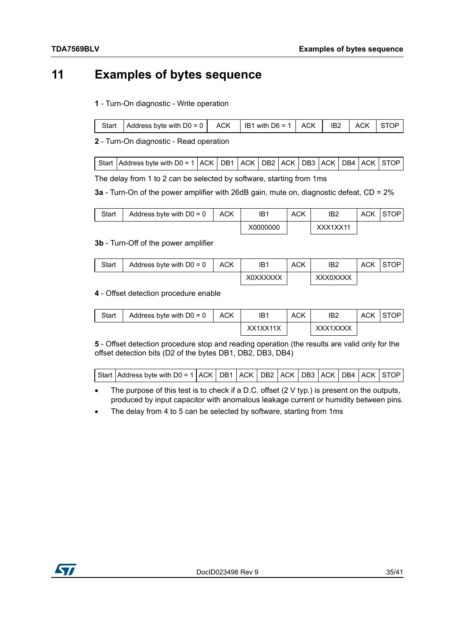# <span id="page-34-0"></span>**11 Examples of bytes sequence**

#### **1** - Turn-On diagnostic - Write operation

| Start   Address byte with $D0 = 0$   ACK   IB1 with $D6 = 1$   ACK   IB2   ACK   STOP |  |  |  |
|---------------------------------------------------------------------------------------|--|--|--|

**2** - Turn-On diagnostic - Read operation

| Start   Address byte with D0 = 1   ACK   DB1   ACK   DB2   ACK   DB3   ACK   DB4   ACK   STOP |  |  |  |  |  |
|-----------------------------------------------------------------------------------------------|--|--|--|--|--|
|                                                                                               |  |  |  |  |  |

The delay from 1 to 2 can be selected by software, starting from 1ms

**3a** - Turn-On of the power amplifier with 26dB gain, mute on, diagnostic defeat, CD = 2%

| Start | Address byte with $D0 = 0$ | <b>ACK</b> | IB1      | ACK | IB2      | <b>ACK</b> | <b>STOP</b> |
|-------|----------------------------|------------|----------|-----|----------|------------|-------------|
|       |                            |            | X0000000 |     | XXX1XX11 |            |             |

#### **3b** - Turn-Off of the power amplifier

| Start | Address byte with $D0 = 0$ | ACK | IB1      | <b>ACK</b> | IB <sub>2</sub> | ACK | STOP |
|-------|----------------------------|-----|----------|------------|-----------------|-----|------|
|       |                            |     | X0XXXXXX |            | XXX0XXXX        |     |      |

#### **4** - Offset detection procedure enable

| Start | Address byte with $D0 = 0$ | <b>ACK</b> | IB1      | <b>ACK</b> | IB <sub>2</sub> | <b>ACK</b> | ⊥STOP |
|-------|----------------------------|------------|----------|------------|-----------------|------------|-------|
|       |                            |            | XX1XX11X |            | XXX1XXXX        |            |       |

**5** - Offset detection procedure stop and reading operation (the results are valid only for the offset detection bits (D2 of the bytes DB1, DB2, DB3, DB4)

| Start Address byte with D0 = 1 ACK DB1 ACK DB2 ACK DB3 ACK DB4 ACK STOP |  |  |  |  |  |  |  |  |  |  |
|-------------------------------------------------------------------------|--|--|--|--|--|--|--|--|--|--|
|-------------------------------------------------------------------------|--|--|--|--|--|--|--|--|--|--|

• The purpose of this test is to check if a D.C. offset (2 V typ.) is present on the outputs, produced by input capacitor with anomalous leakage current or humidity between pins.

The delay from 4 to 5 can be selected by software, starting from 1ms

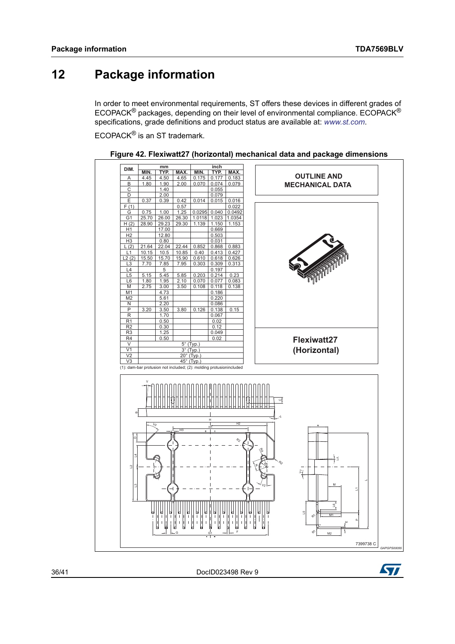# <span id="page-35-0"></span>**12 Package information**

In order to meet environmental requirements, ST offers these devices in different grades of ECOPACK® packages, depending on their level of environmental compliance. ECOPACK® specifications, grade definitions and product status are available at: *[www.st.com](http://www.st.com)*.

ECOPACK® is an ST trademark.

<span id="page-35-1"></span>

**Figure 42. Flexiwatt27 (horizontal) mechanical data and package dimensions**

36/[41](#page-40-0) DocID023498 Rev 9

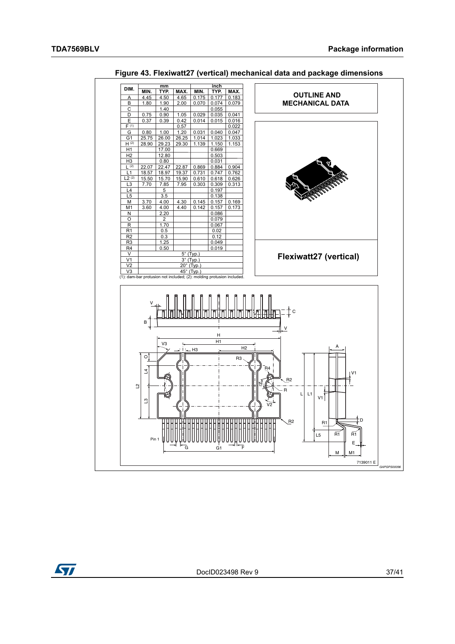<span id="page-36-0"></span>

Figure 43. Flexiwatt27 (vertical) mechanical data and package dimensions

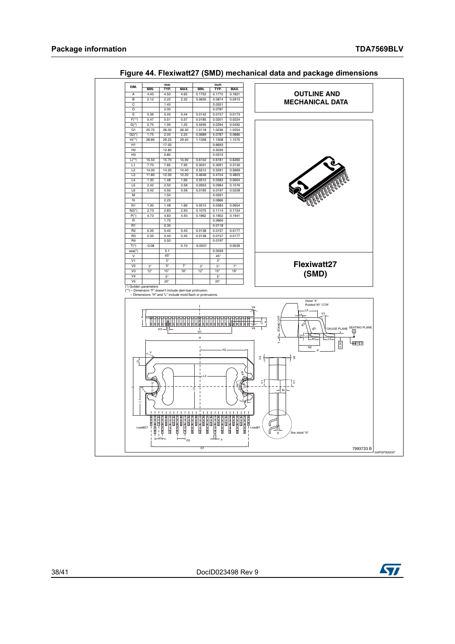<span id="page-37-0"></span>

Figure 44. Flexiwatt27 (SMD) mechanical data and package dimensions

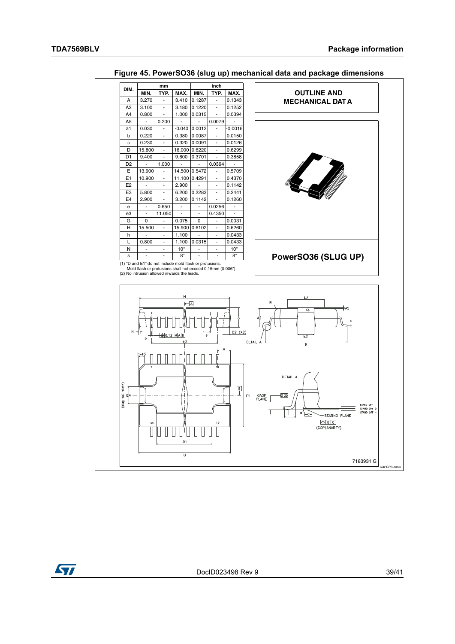<span id="page-38-0"></span>

#### Figure 45. PowerSO36 (slug up) mechanical data and package dimensions

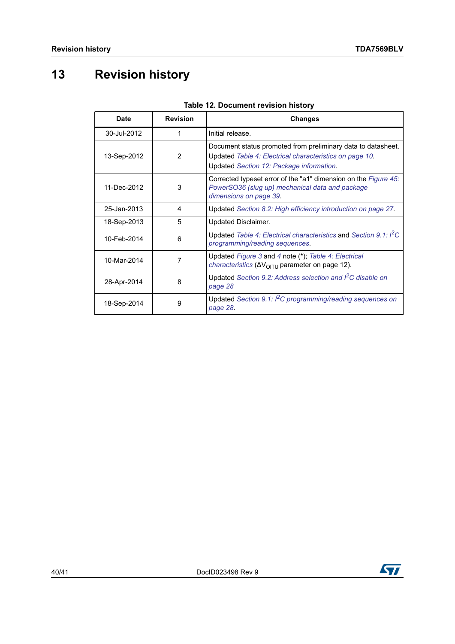# <span id="page-39-0"></span>**13 Revision history**

<span id="page-39-1"></span>

| <b>Date</b> | <b>Revision</b> | <b>Changes</b>                                                                                                                                                      |
|-------------|-----------------|---------------------------------------------------------------------------------------------------------------------------------------------------------------------|
| 30-Jul-2012 | 1               | Initial release.                                                                                                                                                    |
| 13-Sep-2012 | $\overline{2}$  | Document status promoted from preliminary data to datasheet.<br>Updated Table 4: Electrical characteristics on page 10.<br>Updated Section 12: Package information. |
| 11-Dec-2012 | 3               | Corrected typeset error of the "a1" dimension on the Figure 45:<br>PowerSO36 (slug up) mechanical data and package<br>dimensions on page 39.                        |
| 25-Jan-2013 | 4               | Updated Section 8.2: High efficiency introduction on page 27.                                                                                                       |
| 18-Sep-2013 | 5               | Updated Disclaimer.                                                                                                                                                 |
| 10-Feb-2014 | 6               | Updated Table 4: Electrical characteristics and Section 9.1: I <sup>2</sup> C<br>programming/reading sequences.                                                     |
| 10-Mar-2014 | 7               | Updated Figure 3 and 4 note (*); Table 4: Electrical<br><i>characteristics</i> ( $\Delta V_{\text{OITU}}$ parameter on page 12).                                    |
| 28-Apr-2014 | 8               | Updated Section 9.2: Address selection and I <sup>2</sup> C disable on<br>page 28                                                                                   |
| 18-Sep-2014 | 9               | Updated Section 9.1: I <sup>2</sup> C programming/reading sequences on<br>page 28.                                                                                  |

| Table 12. Document revision history |
|-------------------------------------|
|-------------------------------------|